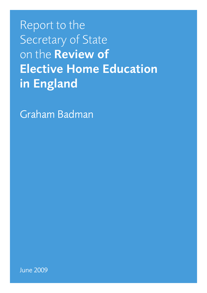Report to the Secretary of State on the Review of Elective Home Education in England

Graham Badman

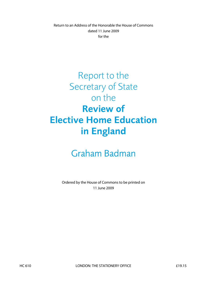Return to an Address of the Honorable the House of Commons dated 11 June 2009 for the

# on the Report to the Secretary of State Review of Elective Home Education in England

## Graham Badman

Ordered by the House of Commons to be printed on 11 June 2009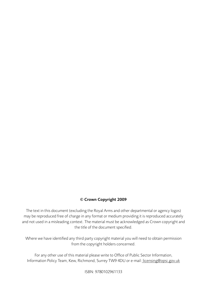#### © Crown Copyright 2009

 may be reproduced free of charge in any format or medium providing it is reproduced accurately The text in this document (excluding the Royal Arms and other departmental or agency logos) and not used in a misleading context. The material must be acknowledged as Crown copyright and the title of the document specified.

 from the copyright holders concerned. Where we have identified any third party copyright material you will need to obtain permission

Information Policy Team, Kew, Richmond, Surrey TW9 4DU or e-mail: licensing@opsi.gov.uk For any other use of this material please write to Office of Public Sector Information,

ISBN: 9780102961133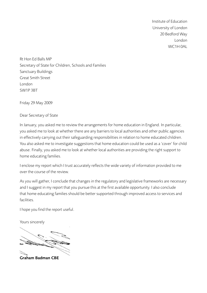Institute of Education University of London 20 Bedford Way London WC1H 0AL

Rt Hon Ed Balls MP Secretary of State for Children, Schools and Families Sanctuary Buildings Great Smith Street London SW1P 3BT

Friday 29 May 2009

Dear Secretary of State

In January, you asked me to review the arrangements for home education in England. In particular, you asked me to look at whether there are any barriers to local authorities and other public agencies in effectively carrying out their safeguarding responsibilities in relation to home educated children. You also asked me to investigate suggestions that home education could be used as a 'cover' for child abuse. Finally, you asked me to look at whether local authorities are providing the right support to home educating families.

I enclose my report which I trust accurately reflects the wide variety of information provided to me over the course of the review.

As you will gather, I conclude that changes in the regulatory and legislative frameworks are necessary and I suggest in my report that you pursue this at the first available opportunity. I also conclude that home educating families should be better supported through improved access to services and facilities.

I hope you find the report useful.

Yours sincerely



Graham Badman CBE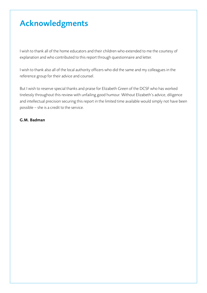## Acknowledgments

I wish to thank all of the home educators and their children who extended to me the courtesy of explanation and who contributed to this report through questionnaire and letter.

I wish to thank also all of the local authority officers who did the same and my colleagues in the reference group for their advice and counsel.

But I wish to reserve special thanks and praise for Elizabeth Green of the DCSF who has worked tirelessly throughout this review with unfailing good humour. Without Elizabeth's advice, diligence and intellectual precision securing this report in the limited time available would simply not have been possible – she is a credit to the service.

#### G.M. Badman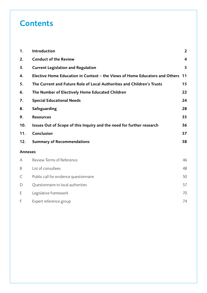### **Contents**

| 1.             | Introduction                                                                | $\overline{2}$          |
|----------------|-----------------------------------------------------------------------------|-------------------------|
| 2.             | <b>Conduct of the Review</b>                                                | $\overline{\mathbf{4}}$ |
| 3.             | <b>Current Legislation and Regulation</b>                                   | 5                       |
| 4.             | Elective Home Education in Context - the Views of Home Educators and Others | 11                      |
| 5.             | The Current and Future Role of Local Authorities and Children's Trusts      | 15                      |
| 6.             | The Number of Electively Home Educated Children                             | 22                      |
| 7.             | <b>Special Educational Needs</b>                                            | 24                      |
| 8.             | Safeguarding                                                                | 28                      |
| 9.             | <b>Resources</b>                                                            | 35                      |
| 10.            | Issues Out of Scope of this Inquiry and the need for further research       | 36                      |
| 11.            | Conclusion                                                                  | 37                      |
| 12.            | <b>Summary of Recommendations</b>                                           | 38                      |
| <b>Annexes</b> |                                                                             |                         |
| A              | Review Terms of Reference                                                   | 46                      |
| B              | List of consultees                                                          | 48                      |
| C              | Public call for evidence questionnaire                                      | 50                      |
| D              | Ouestionnaire to local authorities                                          | 57                      |
| Ε              | Legislative framework                                                       | 70                      |
| F              | Expert reference group                                                      | 74                      |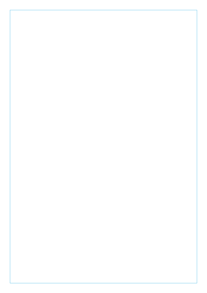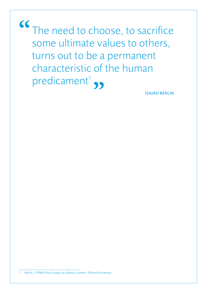some ultimate values to others, turns out to be a permanent characteristic of the human **"**The need to choose, to sacrifice<br>some ultimate values to others predicament<sup>1</sup> **"** ISAIAH BERLIN

 1 Berlin, I (1969) *Four Essays on Liberty* London: Oxford University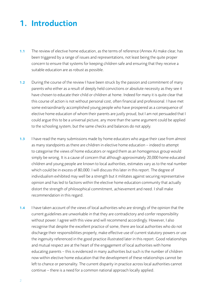### <span id="page-8-0"></span>1. Introduction

- 1.1 The review of elective home education, as the terms of reference (Annex A) make clear, has been triggered by a range of issues and representations, not least being the quite proper concern to ensure that systems for keeping children safe and ensuring that they receive a suitable education are as robust as possible.
- **1.2** During the course of the review I have been struck by the passion and commitment of many parents who either as a result of deeply held convictions or absolute necessity as they see it have chosen to educate their child or children at home. Indeed for many it is quite clear that this course of action is not without personal cost, often financial and professional. I have met some extraordinarily accomplished young people who have prospered as a consequence of elective home education of whom their parents are justly proud, but I am not persuaded that I could argue this to be a universal picture, any more than the same argument could be applied to the schooling system, but the same checks and balances do not apply.
- **1.3** I have read the many submissions made by home educators who argue their case from almost as many standpoints as there are children in elective home education – indeed to attempt to categorise the views of home educators or regard them as an homogenous group would simply be wrong. It is a cause of concern that although approximately 20,000 home educated children and young people are known to local authorities, estimates vary as to the real number which could be in excess of 80,000. I will discuss this later in this report. The degree of individualism exhibited may well be a strength but it militates against securing representative opinion and has led to factions within the elective home education community that actually distort the strength of philosophical commitment, achievement and need. I shall make recommendation in this regard.
- **1.4** I have taken account of the views of local authorities who are strongly of the opinion that the current guidelines are unworkable in that they are contradictory and confer responsibility without power. I agree with this view and will recommend accordingly. However, I also recognise that despite the excellent practice of some, there are local authorities who do not discharge their responsibilities properly, make effective use of current statutory powers or use the ingenuity referenced in the good practice illustrated later in this report. Good relationships and mutual respect are at the heart of the engagement of local authorities with home educating parents – this is evidenced in many authorities but such is the number of children now within elective home education that the development of these relationships cannot be left to chance or personality. The current disparity in practice across local authorities cannot continue – there is a need for a common national approach locally applied.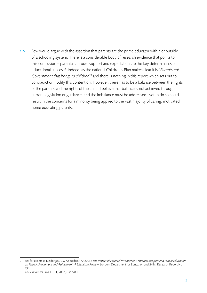**1.5** Few would argue with the assertion that parents are the prime educator within or outside of a schooling system. There is a considerable body of research evidence that points to this conclusion – parental attitude, support and expectation are the key determinants of educational success<sup>2</sup>. Indeed, as the national Children's Plan makes clear it is "Parents not Government that bring up children"<sup>3</sup> and there is nothing in this report which sets out to contradict or modify this contention. However, there has to be a balance between the rights of the parents and the rights of the child. I believe that balance is not achieved through current legislation or guidance, and the imbalance must be addressed. Not to do so could result in the concerns for a minority being applied to the vast majority of caring, motivated home educating parents.

<sup>2</sup> See for example, Desforges, C & Abouchaar, A (2003) The Impact of Parental Involvement, Parental Support and Family Education on Pupil Achievement and Adjustment: A Literature Review, London, Department for Education and Skills, Research Report No 433.

<sup>3</sup> The Children's Plan, DCSF, 2007, CM7280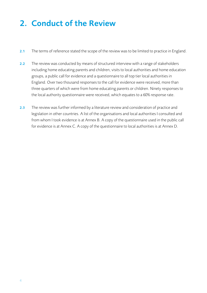## <span id="page-10-0"></span>2. Conduct of the Review

- 2.1 The terms of reference stated the scope of the review was to be limited to practice in England.
- 2.2 The review was conducted by means of structured interview with a range of stakeholders including home educating parents and children, visits to local authorities and home education groups, a public call for evidence and a questionnaire to all top tier local authorities in England. Over two thousand responses to the call for evidence were received, more than three quarters of which were from home educating parents or children. Ninety responses to the local authority questionnaire were received, which equates to a 60% response rate.
- 2.3 The review was further informed by a literature review and consideration of practice and legislation in other countries. A list of the organisations and local authorities I consulted and from whom I took evidence is at Annex B. A copy of the questionnaire used in the public call for evidence is at Annex C. A copy of the questionnaire to local authorities is at Annex D.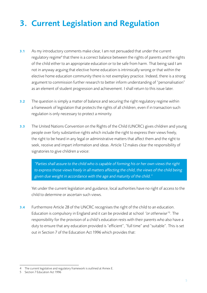## <span id="page-11-0"></span>3. Current Legislation and Regulation

- 3.1 As my introductory comments make clear, I am not persuaded that under the current regulatory regime<sup>4</sup> that there is a correct balance between the rights of parents and the rights of the child either to an appropriate education or to be safe from harm. That being said I am not in anyway arguing that elective home education is intrinsically wrong or that within the elective home education community there is not exemplary practice. Indeed, there is a strong argument to commission further research to better inform understanding of "personalisation" as an element of student progression and achievement. I shall return to this issue later.
- 3.2 The question is simply a matter of balance and securing the right regulatory regime within a framework of legislation that protects the rights of all children, even if in transaction such regulation is only necessary to protect a minority.
- 3.3 The United Nations Convention on the Rights of the Child (UNCRC) gives children and young people over forty substantive rights which include the right to express their views freely, the right to be heard in any legal or administrative matters that affect them and the right to seek, receive and impart information and ideas. Article 12 makes clear the responsibility of signatories to give children a voice:

"Parties shall assure to the child who is capable of forming his or her own views the right to express those views freely in all matters affecting the child, the views of the child being  *given due weight in accordance with the age and maturity of the child."*

Yet under the current legislation and guidance, local authorities have no right of access to the child to determine or ascertain such views.

3.4 Furthermore Article 28 of the UNCRC recognises the right of the child to an education. Education is compulsory in England and it can be provided at school "or otherwise"<sup>5</sup>. The responsibility for the provision of a child's education rests with their parents who also have a duty to ensure that any education provided is "efficient", "full time" and "suitable". This is set out in Section 7 of the Education Act 1996 which provides that:

<sup>4</sup> The current legislative and regulatory framework is outlined at Annex E.

<sup>5</sup> Section 7 Education Act 1996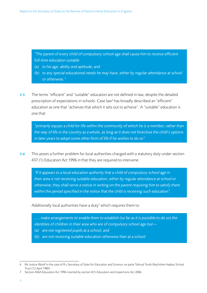"The parent of every child of compulsory school age shall cause him to receive efficient  *– full-time education suitable*

- *(a) to his age, ability and aptitude, and*
- (b) to any special educational needs he may have, either by regular attendance at school *or otherwise."*
- 3.5 The terms "efficient" and "suitable" education are not defined in law, despite the detailed prescription of expectations in schools. Case law<sup>6</sup> has broadly described an "efficient" education as one that "achieves that which it sets out to achieve". A "suitable" education is one that:

"primarily equips a child for life within the community of which he is a member, rather than the way of life in the country as a whole, as long as it does not foreclose the child's options  *in later years to adopt some other form of life if he wishes to do so".*

3.6 This poses a further problem for local authorities charged with a statutory duty under section 437 (1) Education Act 1996 in that they are required to intervene:

"If it appears to a local education authority that a child of compulsory school age in  *their area is not receiving suitable education, either by regular attendance at school or* otherwise, they shall serve a notice in writing on the parent requiring him to satisfy them  *within the period specified in the notice that the child is receiving such education".*

Additionally local authorities have a duty<sup>7</sup> which requires them to:

..... make arrangements to enable them to establish (so far as it is possible to do so) the  *identities of children in their area who are of compulsory school age but—*

- *(a) are not registered pupils at a school, and*
- *(b) are not receiving suitable education otherwise than at a school.*

<sup>6</sup> Mr Justice Woolf in the case of R v Secretary of State for Education and Science, ex parte Talmud Torah Machzikei Hadass School Trust (12 April 1985)

<sup>7</sup> Section 436A Education Act 1996 inserted by section 4(1) Education and Inspections Act 2006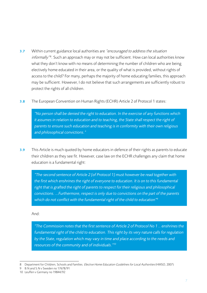- 3.7 Within current guidance local authorities are "encouraged to address the situation informally"<sup>8</sup>. Such an approach may or may not be sufficient. How can local authorities know what they don't know with no means of determining the number of children who are being electively home educated in their area, or the quality of what is provided, without rights of access to the child? For many, perhaps the majority of home educating families, this approach may be sufficient. However, I do not believe that such arrangements are sufficiently robust to protect the rights of all children.
- 3.8 The European Convention on Human Rights (ECHR) Article 2 of Protocol 1 states:

"No person shall be denied the right to education. In the exercise of any functions which it assumes in relation to education and to teaching, the State shall respect the right of  *parents to ensure such education and teaching is in conformity with their own religious and philosophical convictions."*

3.9 This Article is much quoted by home educators in defence of their rights as parents to educate their children as they see fit. However, case law on the ECHR challenges any claim that home education is a fundamental right:

"The second sentence of Article 2 [of Protocol 1] must however be read together with the first which enshrines the right of everyone to education. It is on to this fundamental right that is grafted the right of parents to respect for their religious and philosophical  *convictions. …Furthermore, respect is only due to convictions on the part of the parents which do not conflict with the fundamental right of the child to education"9*

And:

"The Commission notes that the first sentence of Article 2 of Protocol No 1. enshrines the fundamental right of the child to education. This right by its very nature calls for regulation by the State, regulation which may vary in time and place according to the needs and  *resources of the community and of individuals."10*

<sup>8</sup> Department for Children, Schools and Families. Elective Home Education Guidelines for Local Authorities (HMSO, 2007)

<sup>9</sup> B.N and S.N v Sweden no 17678/91

<sup>10</sup> Leuffen v Germany no 19844/92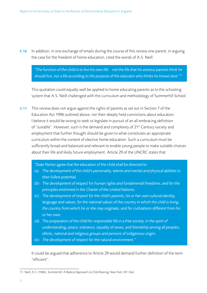3.10 In addition, in one exchange of emails during the course of this review one parent, in arguing the case for the freedom of home education, cited the words of A.S. Neill:

"The function of the child is to live his own life not the life that his anxious parents think he should live, nor a life according to the purpose of the educator who thinks he knows best."<sup>11</sup>

This quotation could equally well be applied to home educating parents as to the schooling system that A.S. Neill challenged with the curriculum and methodology of Summerhill School.

3.11 This review does not argue against the rights of parents as set out in Section 7 of the Education Act 1996 outlined above, nor their deeply held convictions about education. I believe it would be wrong to seek to legislate in pursuit of an all embracing definition of "suitable". However, such is the demand and complexity of 21<sup>st</sup> Century society and employment that further thought should be given to what constitutes an appropriate curriculum within the context of elective home education. Such a curriculum must be sufficiently broad and balanced and relevant to enable young people to make suitable choices about their life and likely future employment. Article 29 of the UNCRC states that:

 *"State Parties agree that the education of the child shall be directed to:*

- *(a) The development of the child's personality, talents and mental and physical abilitiesto their fullest potential;*
- *(b) The development of respect for human rights and fundamental freedoms, and for the principles enshrined in the Charter of the United Nations;*
- (c) The development of respect for the child's parents, his or her own cultural identity, language and values, for the national values of the country in which the child is living,  *the country from which he orshe may originate, and for civilizations different from his or her own;*
- (d) The preparation of the child for responsible life in a free society, in the spirit of  *understanding, peace, tolerance, equality ofsexes, and friendship among all peoples, ethnic, national and religious groups and persons of indigenous origin;*
- *(e) The development of respect for the natural environment."*

It could be argued that adherence to Article 29 would demand further definition of the term "efficient".

<sup>11</sup> Neill, A.S. (1960), Summerhill: A Radical Approach to Child Rearing, New York, NY: Hart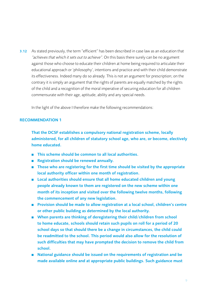3.12 As stated previously, the term "efficient" has been described in case law as an education that "achieves that which it sets out to achieve". On this basis there surely can be no argument against those who choose to educate their children at home being required to articulate their educational approach or 'philosophy', intentions and practice and with their child demonstrate its effectiveness. Indeed many do so already. This is not an argument for prescription; on the contrary it is simply an argument that the rights of parents are equally matched by the rights of the child and a recognition of the moral imperative of securing education for all children commensurate with their age, aptitude, ability and any special needs.

In the light of the above I therefore make the following recommendations:

#### **RECOMMENDATION 1**

That the DCSF establishes a compulsory national registration scheme, locally administered, for all children of statutory school age, who are, or become, electively home educated.

- This scheme should be common to all local authorities.
- Registration should be renewed annually.
- Those who are registering for the first time should be visited by the appropriate local authority officer within one month of registration.
- Local authorities should ensure that all home educated children and young people already known to them are registered on the new scheme within one month of its inception and visited over the following twelve months, following the commencement of any new legislation.
- Provision should be made to allow registration at a local school, children's centre or other public building as determined by the local authority.
- When parents are thinking of deregistering their child/children from school to home educate, schools should retain such pupils on roll for a period of 20 school days so that should there be a change in circumstances, the child could be readmitted to the school. This period would also allow for the resolution of such difficulties that may have prompted the decision to remove the child from school.
- National guidance should be issued on the requirements of registration and be made available online and at appropriate public buildings. Such guidance must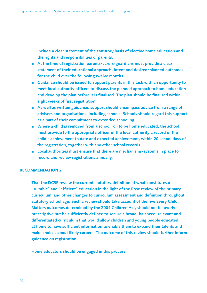include a clear statement of the statutory basis of elective home education and the rights and responsibilities of parents.

- At the time of registration parents/carers/guardians must provide a clear statement of their educational approach, intent and desired/planned outcomes for the child over the following twelve months.
- Guidance should be issued to support parents in this task with an opportunity to meet local authority officers to discuss the planned approach to home education and develop the plan before it is finalised. The plan should be finalised within eight weeks of first registration.
- As well as written guidance, support should encompass advice from a range of advisers and organisations, including schools. Schools should regard this support as a part of their commitment to extended schooling.
- Where a child is removed from a school roll to be home educated, the school must provide to the appropriate officer of the local authority a record of the child's achievement to date and expected achievement, within 20 school days of the registration, together with any other school records.
- Local authorities must ensure that there are mechanisms/systems in place to record and review registrations annually.

#### RECOMMENdATION 2

That the DCSF review the current statutory definition of what constitutes a "suitable" and "efficient" education in the light of the Rose review of the primary curriculum, and other changes to curriculum assessment and definition throughout statutory school age. Such a review should take account of the five Every Child Matters outcomes determined by the 2004 Children Act, should not be overly prescriptive but be sufficiently defined to secure a broad, balanced, relevant and differentiated curriculum that would allow children and young people educated at home to have sufficient information to enable them to expand their talents and make choices about likely careers. The outcome of this review should further inform guidance on registration.

Home educators should be engaged in this process.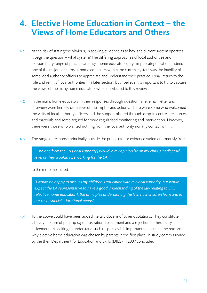### <span id="page-17-0"></span>4. Elective Home Education in Context – the Views of Home Educators and Others

- 4.1 At the risk of stating the obvious, in seeking evidence as to how the current system operates it begs the question – what system? The differing approaches of local authorities and extraordinary range of practice amongst home educators defy simple categorisation. Indeed, one of the major concerns of home educators within the current system was the inability of some local authority officers to appreciate and understand their practice. I shall return to the role and remit of local authorities in a later section, but I believe it is important to try to capture the views of the many home educators who contributed to this review.
- 4.2 In the main, home educators in their responses through questionnaire, email, letter and interview were fiercely defensive of their rights and actions. There were some who welcomed the visits of local authority officers and the support offered through drop-in centres, resources and materials and some argued for more regularised monitoring and intervention. However, there were those who wanted nothing from the local authority nor any contact with it.
- 4.3 The range of response principally outside the public call for evidence varied enormously from:

"...no one from the LA [local authority] would in my opinion be on my child's intellectual  *level or they wouldn't be working for the LA."*

to the more measured:

"I would be happy to discuss my children's education with my local authority, but would expect the LA representative to have a good understanding of the law relating to EHE  *[elective home education], the principles underpinning the law, how children learn and in our case, special educational needs".*

4.4 To the above could have been added literally dozens of other quotations. They constitute a heady mixture of pent up rage, frustration, resentment and a rejection of third party judgement. In seeking to understand such responses it is important to examine the reasons why elective home education was chosen by parents in the first place. A study commissioned by the then Department for Education and Skills (DfES) in 2007 concluded: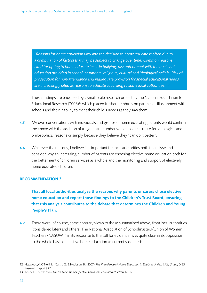*"Reasons for home education vary and the decision to home educate is often due to a combination of factors that may be subject to change over time. Common reasons cited for opting to home educate include bullying, discontentment with the quality of education provided in school, or parents' religious, cultural and ideological beliefs. Risk of prosecution for non-attendance and inadequate provision for special educational needs are increasingly cited as reasons to educate according to some local authorities."12*

These findings are endorsed by a small scale research project by the National Foundation for Educational Research (2006)<sup>13</sup> which placed further emphasis on parents disillusionment with schools and their inability to meet their child's needs as they saw them.

- 4.5 My own conversations with individuals and groups of home educating parents would confirm the above with the addition of a significant number who chose this route for ideological and philosophical reasons or simply because they believe they "can do it better".
- **4.6** Whatever the reasons, I believe it is important for local authorities both to analyse and consider why an increasing number of parents are choosing elective home education both for the betterment of children services as a whole and the monitoring and support of electively home educated children.

#### RECOMMENdATION 3

That all local authorities analyse the reasons why parents or carers chose elective home education and report those findings to the Children's Trust Board, ensuring that this analysis contributes to the debate that determines the Children and Young People's Plan.

4.7 There were, of course, some contrary views to those summarised above, from local authorities (considered later) and others. The National Association of Schoolmasters/Union of Women Teachers (NASUWT) in its response to the call for evidence, was quite clear in its opposition to the whole basis of elective home education as currently defined:

<sup>12</sup> Hopwood, V., O'Neill, L., Castro G. & Hodgson, B. (2007) The Prevalence of Home Education in England: A Feasibility Study, DfES, Research Report 827

 13 Kendall S. & Atkinson, M (2006) *Some perspectives on home educated children,* NFER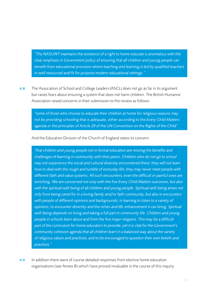"The NASUWT maintains the existence of a right to home educate is anomalous with the clear emphasis in Government policy of ensuring that all children and young people can  *benefit from educational provision where teaching and learning is led by qualified teachers in well resourced and fit for purpose modern educational settings."*

4.8 The Association of School and College Leaders *(*ASCL) does not go as far in its argument but raises fears about ensuring a system that does not harm children. The British Humanist Association raised concerns in their submission to the review as follows:

"some of those who choose to educate their children at home for religious reasons may  *not be providing schooling that is adequate, either according to the Every Child Matters* agenda or the principles of Article 29 of the UN Convention on the Rights of the Child".

And the Education Division of the Church of England states its concern:

 *"that children and young people not in formal education are missing the benefits and* challenges of learning in community with their peers. Children who do not go to school may not experience the social and cultural diversity encountered there; they will not learn how to deal with the rough and tumble of everyday life; they may never meet people with different faith and value systems. All such encounters, even the difficult or painful ones are enriching. We are concerned not only with the five Every Child Matters outcomes, but also with the spiritual well being of all children and young people. Spiritual well being arises not only from being cared for in a loving family and/or faith community, but also in encounters with people of different opinions and backgrounds; in learning to listen to a variety of opinions; to encounter diversity and the riches and life enhancement it can bring. Spiritual well being depends on living and taking a full part in community life. Children and young people in schools learn about and from the five major religions. This may be a difficult part of the curriculum for home educators to provide, yet it is vital for the Government's  *community cohesion agenda that all children learn in a balanced way about the variety* of religious values and practices, and to be encouraged to question their own beliefs and *practices."*

4.9 In addition there were of course detailed responses from elective home education organisations (see Annex B) which have proved invaluable in the course of this inquiry.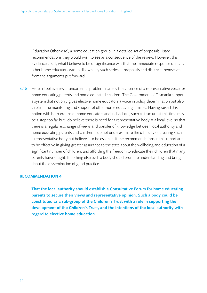'Education Otherwise', a home education group, in a detailed set of proposals, listed recommendations they would wish to see as a consequence of the review. However, this evidence apart, what I believe to be of significance was that the immediate response of many other home educators was to disown any such series of proposals and distance themselves from the arguments put forward.

4.10 Herein I believe lies a fundamental problem, namely the absence of a representative voice for home educating parents and home educated children. The Government of Tasmania supports a system that not only gives elective home educators a voice in policy determination but also a role in the monitoring and support of other home educating families. Having raised this notion with both groups of home educators and individuals, such a structure at this time may be a step too far but I do believe there is need for a representative body at a local level so that there is a regular exchange of views and transfer of knowledge between local authority and home educating parents and children. I do not underestimate the difficulty of creating such a representative body but believe it to be essential if the recommendations in this report are to be effective in giving greater assurance to the state about the wellbeing and education of a significant number of children, and affording the freedom to educate their children that many parents have sought. If nothing else such a body should promote understanding and bring about the dissemination of good practice.

#### **RECOMMENDATION 4**

That the local authority should establish a Consultative Forum for home educating parents to secure their views and representative opinion. Such a body could be constituted as a sub-group of the Children's Trust with a role in supporting the development of the Children's Trust, and the intentions of the local authority with regard to elective home education.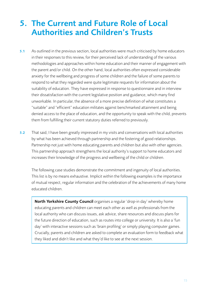### <span id="page-21-0"></span>5. The Current and Future Role of Local Authorities and Children's Trusts

- 5.1 As outlined in the previous section, local authorities were much criticised by home educators in their responses to this review, for their perceived lack of understanding of the various methodologies and approaches within home education and their manner of engagement with the parent and/or child. On the other hand, local authorities often expressed considerable anxiety for the wellbeing and progress of some children and the failure of some parents to respond to what they regarded were quite legitimate requests for information about the suitability of education. They have expressed in response to questionnaire and in interview their dissatisfaction with the current legislative position and guidance, which many find unworkable. In particular, the absence of a more precise definition of what constitutes a "suitable" and "efficient" education militates against benchmarked attainment and being denied access to the place of education, and the opportunity to speak with the child, prevents them from fulfilling their current statutory duties referred to previously.
- 5.2 That said, I have been greatly impressed in my visits and conversations with local authorities by what has been achieved through partnership and the fostering of good relationships. Partnership not just with home educating parents and children but also with other agencies. This partnership approach strengthens the local authority's support to home educators and increases their knowledge of the progress and wellbeing of the child or children.

The following case studies demonstrate the commitment and ingenuity of local authorities. This list is by no means exhaustive. Implicit within the following examples is the importance of mutual respect, regular information and the celebration of the achievements of many home educated children.

North Yorkshire County Council organises a regular 'drop-in day' whereby home educating parents and children can meet each other as well as professionals from the local authority who can discuss issues, ask advice, share resources and discuss plans for the future direction of education, such as routes into college or university. It is also a 'fun day' with interactive sessions such as 'brain profiling' or simply playing computer games. Crucially, parents and children are asked to complete an evaluation form to feedback what they liked and didn't like and what they'd like to see at the next session.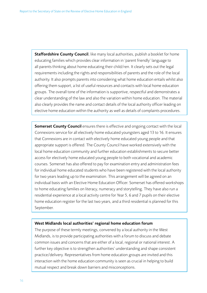**Staffordshire County Council**, like many local authorities, publish a booklet for home educating families which provides clear information in 'parent friendly' language to all parents thinking about home educating their child/ren. It clearly sets out the legal requirements including the rights and responsibilities of parents and the role of the local authority. It also prompts parents into considering what home education entails whilst also offering them support, a list of useful resources and contacts with local home education groups. The overall tone of the information is supportive, respectful and demonstrates a clear understanding of the law and also the variation within home education. The material also clearly provides the name and contact details of the local authority officer leading on elective home education within the authority as well as details of complaints procedures.

**Somerset County Council** ensures there is effective and ongoing contact with the local Connexions service for all electively home educated youngsters aged 13 to 16. It ensures that Connexions are in contact with electively home educated young people and that appropriate support is offered. The County Council have worked extensively with the local home education community and further education establishments to secure better access for electively home educated young people to both vocational and academic courses. Somerset has also offered to pay for examination entry and administration fees for individual home educated students who have been registered with the local authority for two years leading up to the examination. This arrangement will be agreed on an individual basis with an Elective Home Education Officer. Somerset has offered workshops to home educating families on literacy, numeracy and storytelling. They have also run a residential experience at a local activity centre for Year 5, 6 and 7 pupils on their elective home education register for the last two years, and a third residential is planned for this September.

#### West Midlands local authorities' regional home education forum

The purpose of these termly meetings, convened by a local authority in the West Midlands, is to provide participating authorities with a forum to discuss and debate common issues and concerns that are either of a local, regional or national interest. A further key objective is to strengthen authorities' understanding and shape consistent practice/delivery. Representatives from home education groups are invited and this interaction with the home education community is seen as crucial in helping to build mutual respect and break down barriers and misconceptions.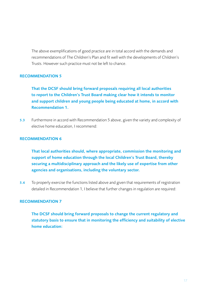The above exemplifications of good practice are in total accord with the demands and recommendations of The Children's Plan and fit well with the developments of Children's Trusts. However such practice must not be left to chance.

#### RECOMMENDATION 5

That the DCSF should bring forward proposals requiring all local authorities to report to the Children's Trust Board making clear how it intends to monitor and support children and young people being educated at home, in accord with Recommendation 1.

5.3 Furthermore in accord with Recommendation 5 above, given the variety and complexity of elective home education, I recommend:

#### RECOMMENdATION 6

That local authorities should, where appropriate, commission the monitoring and support of home education through the local Children's Trust Board, thereby securing a multidisciplinary approach and the likely use of expertise from other agencies and organisations, including the voluntary sector.

5.4 To properly exercise the functions listed above and given that requirements of registration detailed in Recommendation 1, I believe that further changes in regulation are required:

#### RECOMMENdATION 7

The DCSF should bring forward proposals to change the current regulatory and statutory basis to ensure that in monitoring the efficiency and suitability of elective home education: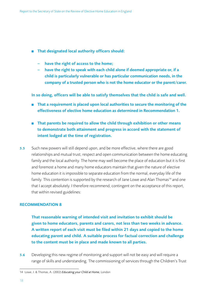- That designated local authority officers should:
	- have the right of access to the home;
	- child is particularly vulnerable or has particular communication needs, in the - have the right to speak with each child alone if deemed appropriate or, if a company of a trusted person who is not the home educator or the parent/carer.

In so doing, officers will be able to satisfy themselves that the child is safe and well.

- That a requirement is placed upon local authorities to secure the monitoring of the effectiveness of elective home education as determined in Recommendation 1.
- That parents be required to allow the child through exhibition or other means to demonstrate both attainment and progress in accord with the statement of intent lodged at the time of registration.
- 5.5 Such new powers will still depend upon, and be more effective, where there are good relationships and mutual trust, respect and open communication between the home educating family and the local authority. The home may well become the place of education but it is first and foremost a home and many home educators maintain that given the nature of elective home education it is impossible to separate education from the normal, everyday life of the family. This contention is supported by the research of Jane Lowe and Alan Thomas<sup>14</sup> and one that I accept absolutely. I therefore recommend, contingent on the acceptance of this report, that within revised guidelines:

#### RECOMMENdATION 8

That reasonable warning of intended visit and invitation to exhibit should be given to home educators, parents and carers, not less than two weeks in advance. A written report of each visit must be filed within 21 days and copied to the home educating parent and child. A suitable process for factual correction and challenge to the content must be in place and made known to all parties.

5.6 Developing this new regime of monitoring and support will not be easy and will require a range of skills and understanding. The commissioning of services through the Children's Trust

 14 Lowe, J. & Thomas, A. (2002) *Educating your Child at Home,* London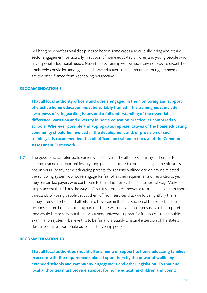will bring new professional disciplines to bear in some cases and crucially, bring about third sector engagement, particularly in support of home educated children and young people who have special educational needs. Nevertheless training will be necessary not least to dispel the firmly held conviction amongst many home educators that current monitoring arrangements are too often framed from a schooling perspective.

#### **RECOMMENDATION 9**

That all local authority officers and others engaged in the monitoring and support of elective home education must be suitably trained. This training must include awareness of safeguarding issues and a full understanding of the essential difference, variation and diversity in home education practice, as compared to schools. Wherever possible and appropriate, representatives of the home educating community should be involved in the development and/or provision of such training. It is recommended that all officers be trained in the use of the Common Assessment Framework.

5.7 The good practice referred to earlier is illustrative of the attempts of many authorities to extend a range of opportunities to young people educated at home but again the picture is not universal. Many home educating parents, for reasons outlined earlier, having rejected the schooling system, do not re-engage for fear of further requirements or restrictions, yet they remain tax payers who contribute to the education system in the normal way. Many simply accept that "that's the way it is" but it seems to me perverse to articulate concern about thousands of young people yet cut them off from services that would be rightfully theirs if they attended school. I shall return to this issue in the final section of this report. In the responses from home educating parents, there was no overall consensus as to the support they would like or seek but there was almost universal support for free access to the public examination system. I believe this to be fair and arguably a natural extension of the state's desire to secure appropriate outcomes for young people.

#### RECOMMENdATION 10

That all local authorities should offer a menu of support to home educating families in accord with the requirements placed upon them by the power of wellbeing, extended schools and community engagement and other legislation. To that end local authorities must provide support for home educating children and young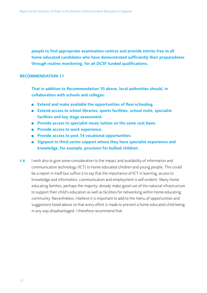people to find appropriate examination centres and provide entries free to all home educated candidates who have demonstrated sufficiently their preparedness through routine monitoring, for all DCSF funded qualifications.

#### RECOMMENdATION 11

That in addition to Recommendation 10 above, local authorities should, in collaboration with schools and colleges:

- Extend and make available the opportunities of flexi-schooling.
- Extend access to school libraries, sports facilities, school visits, specialist facilities and key stage assessment.
- Provide access to specialist music tuition on the same cost basis.
- Provide access to work experience.
- Provide access to post 14 vocational opportunities.
- Signpost to third sector support where they have specialist experience and knowledge, for example, provision for bullied children.
- 5.8 I wish also to give some consideration to the impact and availability of information and communication technology (ICT) to home educated children and young people. This could be a report in itself but suffice it to say that the importance of ICT in learning, access to knowledge and information, communication and employment is self evident. Many home educating families, perhaps the majority, already make good use of the national infrastructure to support their child's education as well as facilities for networking within home educating community. Nevertheless, I believe it is important to add to the menu of opportunities and suggestions listed above so that every effort is made to prevent a home educated child being in any way disadvantaged. I therefore recommend that: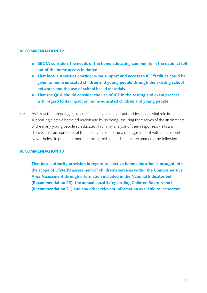#### **RECOMMENDATION 12**

- BECTA considers the needs of the home educating community in the national roll out of the home access initiative.
- That local authorities consider what support and access to ICT facilities could be given to home educated children and young people through the existing school networks and the use of school based materials.
- That the QCA should consider the use of ICT in the testing and exam process with regard to its impact on home educated children and young people.
- 5.9 As I trust the foregoing makes clear, I believe that local authorities have a vital role in supporting elective home education and by so doing, assuring themselves of the attainments of the many young people so educated. From my analysis of their responses, visits and discussions I am confident of their ability to rise to the challenges implicit within this report. Nevertheless in pursuit of more uniform provision and action I recommend the following:

#### RECOMMENdATION 13

That local authority provision in regard to elective home education is brought into the scope of Ofsted's assessment of children's services within the Comprehensive Area Assessment through information included in the National Indicator Set (Recommendation 25), the annual Local Safeguarding Children Board report (Recommendation 21) and any other relevant information available to inspectors.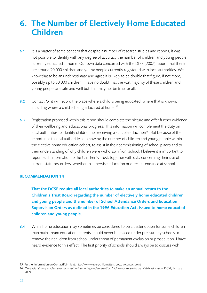### <span id="page-28-0"></span>6. The Number of Electively Home Educated Children

- 6.1 It is a matter of some concern that despite a number of research studies and reports, it was not possible to identify with any degree of accuracy the number of children and young people currently educated at home. Our own data concurred with the DfES (2007) report, that there are around 20,000 children and young people currently registered with local authorities. We know that to be an underestimate and agree it is likely to be double that figure, if not more, possibly up to 80,000 children. I have no doubt that the vast majority of these children and young people are safe and well but, that may not be true for all.
- 6.2 ContactPoint will record the place where a child is being educated, where that is known, including where a child is being educated at home.<sup>15</sup>
- 6.3 Registration proposed within this report should complete the picture and offer further evidence of their wellbeing and educational progress. This information will complement the duty on local authorities to identify children not receiving a suitable education<sup>16</sup>. But because of the importance to local authorities of knowing the number of children and young people within the elective home education cohort, to assist in their commissioning of school places and to their understanding of why children were withdrawn from school, I believe it is important to report such information to the Children's Trust, together with data concerning their use of current statutory orders, whether to supervise education or direct attendance at school.

#### RECOMMENdATION 14

That the DCSF require all local authorities to make an annual return to the Children's Trust Board regarding the number of electively home educated children and young people and the number of School Attendance Orders and Education Supervision Orders as defined in the 1996 Education Act, issued to home educated children and young people.

6.4 While home education may sometimes be considered to be a better option for some children than mainstream education, parents should never be placed under pressure by schools to remove their children from school under threat of permanent exclusion or prosecution. I have heard evidence to this effect. The first priority of schools should always be to discuss with

<sup>15</sup> Further information on ContactPoint is at: http://www.everychildmatters.gov.uk/contactpoint

<sup>16</sup> Revised statutory guidance for local authorities in England to identify children not receiving a suitable education*,* DCSF, January 2009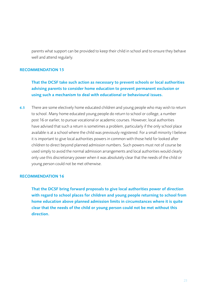parents what support can be provided to keep their child in school and to ensure they behave well and attend regularly.

#### **RECOMMENDATION 15**

That the DCSF take such action as necessary to prevent schools or local authorities advising parents to consider home education to prevent permanent exclusion or using such a mechanism to deal with educational or behavioural issues.

6.5 There are some electively home educated children and young people who may wish to return to school. Many home educated young people do return to school or college, a number post 16 or earlier, to pursue vocational or academic courses. However, local authorities have advised that such a return is sometimes a problem, particularly if the only school place available is at a school where the child was previously registered. For a small minority I believe it is important to give local authorities powers in common with those held for looked after children to direct beyond planned admission numbers. Such powers must not of course be used simply to avoid the normal admission arrangements and local authorities would clearly only use this discretionary power when it was absolutely clear that the needs of the child or young person could not be met otherwise.

#### RECOMMENdATION 16

That the DCSF bring forward proposals to give local authorities power of direction with regard to school places for children and young people returning to school from home education above planned admission limits in circumstances where it is quite clear that the needs of the child or young person could not be met without this direction.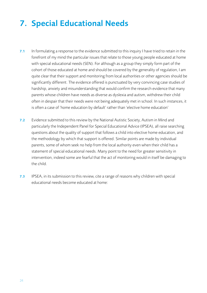## <span id="page-30-0"></span>7. Special Educational Needs

- 7.1 In formulating a response to the evidence submitted to this inquiry I have tried to retain in the forefront of my mind the particular issues that relate to those young people educated at home with special educational needs (SEN). For although as a group they simply form part of the cohort of those educated at home and should be covered by the generality of regulation, I am quite clear that their support and monitoring from local authorities or other agencies should be significantly different. The evidence offered is punctuated by very convincing case studies of hardship, anxiety and misunderstanding that would confirm the research evidence that many parents whose children have needs as diverse as dyslexia and autism, withdrew their child often in despair that their needs were not being adequately met in school. In such instances, it is often a case of 'home education by default' rather than 'elective home education'
- 7.2 Evidence submitted to this review by the National Autistic Society, Autism in Mind and particularly the Independent Panel for Special Educational Advice (IPSEA), all raise searching questions about the quality of support that follows a child into elective home education, and the methodology by which that support is offered. Similar points are made by individual parents, some of whom seek no help from the local authority even when their child has a statement of special educational needs. Many point to the need for greater sensitivity in intervention, indeed some are fearful that the act of monitoring would in itself be damaging to the child.
- 7.3 IPSEA, in its submission to this review, cite a range of reasons why children with special educational needs become educated at home: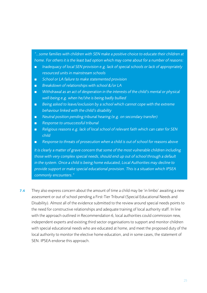"...some families with children with SEN make a positive choice to educate their children at home. For others it is the least bad option which may come about for a number of reasons:

- *Inadequacy of local SEN provision e.g. lack of special schools or lack of appropriately resourced units in mainstream schools*
- **budgee** *School**or* **LA** *failure**to**make**statemented**provision*
- ■■ *Breakdown of relationships with school &/or LA*
- $\blacksquare$  Withdrawal as an act of desperation in the interests of the child's mental or physical  *well-being e.g. when he/she is being badly bullied*
- *Being asked to leave/exclusion by a school which cannot cope with the extreme behaviour linked with the child's disability*
- ■■ *Neutral position pending tribunal hearing (e.g. on secondary transfer)*
- ■■ *Response to unsuccessful tribunal*
- $\blacksquare$  Religious reasons e.g. lack of local school of relevant faith which can cater for SEN *child*
- $\blacksquare$  Response to threats of prosecution when a child is out of school for reasons above

It is clearly a matter of grave concern that some of the most vulnerable children including those with very complex special needs, should end up out of school through a default in the system. Once a child is being home educated, Local Authorities may decline to  *provide support or make special educational provision. This is a situation which IPSEA commonly encounters."*

**7.4** They also express concern about the amount of time a child may be 'in limbo' awaiting a new assessment or out of school pending a First-Tier Tribunal (Special Educational Needs and Disability). Almost all of the evidence submitted to the review around special needs points to the need for constructive relationships and adequate training of local authority staff. In line with the approach outlined in Recommendation 6, local authorities could commission new, independent experts and existing third sector organisations to support and monitor children with special educational needs who are educated at home, and meet the proposed duty of the local authority to monitor the elective home education, and in some cases, the statement of SEN. IPSEA endorse this approach.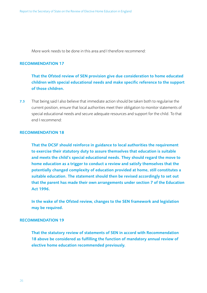More work needs to be done in this area and I therefore recommend:

#### RECOMMENdATION 17

That the Ofsted review of SEN provision give due consideration to home educated children with special educational needs and make specific reference to the support of those children.

7.5 That being said I also believe that immediate action should be taken both to regularise the current position, ensure that local authorities meet their obligation to monitor statements of special educational needs and secure adequate resources and support for the child. To that end I recommend:

#### RECOMMENdATION 18

That the DCSF should reinforce in guidance to local authorities the requirement to exercise their statutory duty to assure themselves that education is suitable and meets the child's special educational needs. They should regard the move to home education as a trigger to conduct a review and satisfy themselves that the potentially changed complexity of education provided at home, still constitutes a suitable education. The statement should then be revised accordingly to set out that the parent has made their own arrangements under section 7 of the Education Act 1996.

In the wake of the Ofsted review, changes to the SEN framework and legislation may be required.

#### RECOMMENdATION 19

That the statutory review of statements of SEN in accord with Recommendation 18 above be considered as fulfilling the function of mandatory annual review of elective home education recommended previously.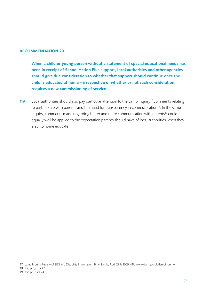#### RECOMMENdATION 20

When a child or young person without a statement of special educational needs has been in receipt of School Action Plus support, local authorities and other agencies should give due consideration to whether that support should continue once the child is educated at home – irrespective of whether or not such consideration requires a new commissioning of service.

7.6 Local authorities should also pay particular attention to the Lamb Inquiry<sup>17</sup> comments relating to partnership with parents and the need for transparency in communication<sup>18</sup>. In the same inquiry, comments made regarding better and more communication with parents<sup>19</sup> could equally well be applied to the expectation parents should have of local authorities when they elect to home educate.

<sup>17</sup> Lamb Inquiry Review of SEN and Disability Information; Brian Lamb; April 29th 2009 HTU www.dcsf.gov.uk/lambinquiry/.

<sup>18</sup> Ibid p 7, para 27

<sup>19</sup> Ibid p6, para 24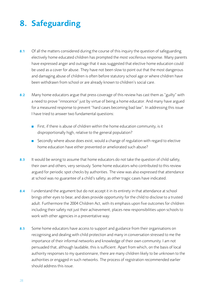## <span id="page-34-0"></span>8. Safeguarding

- 8.1 Of all the matters considered during the course of this inquiry the question of safeguarding electively home educated children has prompted the most vociferous response. Many parents have expressed anger and outrage that it was suggested that elective home education could be used as a cover for abuse. They have not been slow to point out that the most dangerous and damaging abuse of children is often before statutory school age or where children have been withdrawn from school or are already known to children's social care.
- 8.2 Many home educators argue that press coverage of this review has cast them as "guilty" with a need to prove "innocence" just by virtue of being a home educator. And many have argued for a measured response to prevent "hard cases becoming bad law". In addressing this issue I have tried to answer two fundamental questions:
	- First, if there is abuse of children within the home education community, is it disproportionally high, relative to the general population?
	- Secondly where abuse does exist, would a change of regulation with regard to elective home education have either prevented or ameliorated such abuse?
- 8.3 It would be wrong to assume that home educators do not take the question of child safety, their own and others, very seriously. Some home educators who contributed to this review argued for periodic spot checks by authorities. The view was also expressed that attendance at school was no guarantee of a child's safety, as other tragic cases have indicated.
- 8.4 I understand the argument but do not accept it in its entirety in that attendance at school brings other eyes to bear, and does provide opportunity for the child to disclose to a trusted adult. Furthermore the 2004 Children Act, with its emphasis upon five outcomes for children including their safety not just their achievement, places new responsibilities upon schools to work with other agencies in a preventative way.
- 8.5 Some home educators have access to support and guidance from their organisations on recognising and dealing with child protection and many in conversation stressed to me the importance of their informal networks and knowledge of their own community. I am not persuaded that, although laudable, this is sufficient. Apart from which, on the basis of local authority responses to my questionnaire, there are many children likely to be unknown to the authorities or engaged in such networks. The process of registration recommended earlier should address this issue.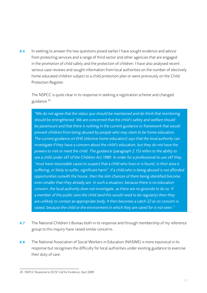8.6 In seeking to answer the two questions posed earlier I have sought evidence and advice from protecting services and a range of third sector and other agencies that are engaged in the promotion of child safety and the protection of children. I have also analysed recent serious case reviews and sought information from local authorities on the number of electively home educated children subject to a child protection plan or were previously on the Child Protection Register.

The NSPCC is quite clear in its response in seeking a registration scheme and changed guidance.<sup>20</sup>

"We do not agree that the status quo should be maintained and do think that monitoring  *should be strengthened. We are concerned that the child's safety and welfare should* be paramount and that there is nothing in the current guidance or framework that would  *prevent children from being abused by people who may claim to be home educators. The current guidance on EHE [elective home education] says that the local authority can* investigate if they have a concern about the child's education, but they do not have the powers to visit or meet the child. The guidance (paragraph 2.15) refers to the ability to see a child under s47 of the Children Act 1989. In order for a professional to use s47 they "must have reasonable cause to suspect that a child who lives or is found, in their area is suffering, or likely to suffer, significant harm". If a child who is being abused is not afforded  *opportunities outwith the house, then the slim chances of them being identified become* even smaller than they already are. In such a situation, because there is no education concern, the local authority does not investigate, as there are no grounds to do so. If a member of the public sees the child (and this would need to be regularly) then they are unlikely to contact an appropriate body. It then becomes a catch 22 as no concern is raised, because the child or the environment in which they are cared for is not seen."

- 8.7 The National Children's Bureau both in its response and through membership of my reference group to this inquiry have raised similar concerns.
- 8.8 The National Association of Social Workers in Education (NASWE) is more equivocal in its response but recognises the difficulty for local authorities under existing guidance to exercise their duty of care.

<sup>20</sup> NSPCC Response to DCSF Call for Evidence, April 2009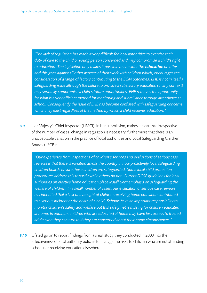"The lack of regulation has made it very difficult for local authorities to exercise their duty of care to the child or young person concerned and may compromise a child's right  *to education. The legislation only makes it possible to consider the* education *on offer* and this goes against all other aspects of their work with children which, encourages the consideration of a range of factors contributing to the ECM outcomes. EHE is not in itself a  *safeguarding issue although the failure to provide a satisfactory education (in any context) may seriously compromise a child's future opportunities. EHE removes the opportunity for what is a very efficient method for monitoring and surveillance through attendance at school. Consequently the issue of EHE has become conflated with safeguarding concerns which may exist regardless of the method by which a child receives education."*

8.9 Her Majesty's Chief Inspector (HMCI), in her submission, makes it clear that irrespective of the number of cases, change in regulation is necessary, furthermore that there is an unacceptable variation in the practice of local authorities and Local Safeguarding Children Boards (LSCB):

 *"Our experience from inspections of children's services and evaluations of serious case reviews is that there is variation across the country in how proactively local safeguarding children boards ensure these children are safeguarded. Some local child protection procedures address this robustly while others do not. Current DCSF guidelines for local authorities on elective home education place insufficient emphasis on safeguarding the* welfare of children. In a small number of cases, our evaluation of serious case reviews  *has identified that a lack of oversight of children receiving home education contributed* to a serious incident or the death of a child. Schools have an important responsibility to  *monitor children's safety and welfare but this safety net is missing for children educated* at home. In addition, children who are educated at home may have less access to trusted  *adults who they can turn to if they are concerned about their home circumstances."*

8.10 Ofsted go on to report findings from a small study they conducted in 2008 into the effectiveness of local authority policies to manage the risks to children who are not attending school nor receiving education elsewhere.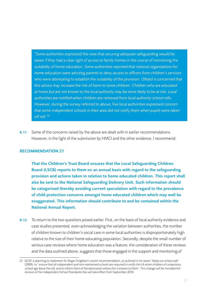*"Some authorities expressed the view that securing adequate safeguarding would be* easier if they had a clear right of access to family homes in the course of monitoring the  *suitability of home education. Some authorities reported that national organisations for home education were advising parents to deny access to officers from children's services who were attempting to establish the suitability of the provision. Ofsted is concerned that* this advice may increase the risk of harm to some children. Children who are educated at home but are not known to the local authority may be more likely to be at risk. Local  *authorities are notified when children are removed from local authority school rolls. However, during the survey referred to above, five local authorities expressed concern* that some independent schools in their area did not notify them when pupils were taken *off roll."*<sup>21</sup>

8.11 Some of the concerns raised by the above are dealt with in earlier recommendations. However, in the light of the submission by HMCI and the other evidence, I recommend:

#### **RECOMMENDATION 21**

That the Children's Trust Board ensures that the Local Safeguarding Children Board (LSCB) reports to them on an annual basis with regard to the safeguarding provision and actions taken in relation to home educated children. This report shall also be sent to the National Safeguarding Delivery Unit. Such information should be categorised thereby avoiding current speculation with regard to the prevalence of child protection concerns amongst home educated children which may well be exaggerated. This information should contribute to and be contained within the National Annual Report.

8.12 To return to the two questions posed earlier. First, on the basis of local authority evidence and case studies presented, even acknowledging the variation between authorities, the number of children known to children's social care in some local authorities is disproportionately high relative to the size of their home educating population. Secondly, despite the small number of serious case reviews where home education was a feature, the consideration of these reviews and the data outlined above, suggests that those engaged in the support and monitoring of

<sup>21</sup> DCSF is planning to implement Sir Roger Singleton's recent recommendation, as outlined in his report 'Keep our school safe' (2009), to "ensure that all independent and non-maintained schools are required to notify the LA when children of compulsory school age leave the roll, and to inform them of the destination where this is known to them". This change will be included the revision of the Independent School Standards that will take effect from September 2010.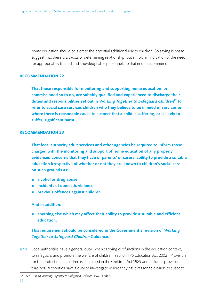home education should be alert to the potential additional risk to children. So saying is not to suggest that there is a causal or determining relationship, but simply an indication of the need for appropriately trained and knowledgeable personnel. To that end, I recommend:

#### RECOMMENDATION 22

That those responsible for monitoring and supporting home education, or commissioned so to do, are suitably qualified and experienced to discharge their duties and responsibilities set out in Working Together to Safeguard Children<sup>22</sup> to refer to social care services children who they believe to be in need of services or where there is reasonable cause to suspect that a child is suffering, or is likely to suffer, significant harm.

#### RECOMMENdATION 23

That local authority adult services and other agencies be required to inform those charged with the monitoring and support of home education of any properly evidenced concerns that they have of parents' or carers' ability to provide a suitable education irrespective of whether or not they are known to children's social care, on such grounds as:

- alcohol or drug abuse
- incidents of domestic violence
- previous offences against children

#### And in addition:

■ anything else which may affect their ability to provide a suitable and efficient education.

### This requirement should be considered in the Government's revision of Working Together to Safeguard Children Guidance.

8.13 Local authorities have a general duty, when carrying out functions in the education context, to safeguard and promote the welfare of children (section 175 Education Act 2002). Provision for the protection of children is contained in the Children Act 1989 and includes provision that local authorities have a duty to investigate where they have reasonable cause to suspect

<sup>22</sup> DCSF (2006) Working Together to Safeguard Children, TSO, London.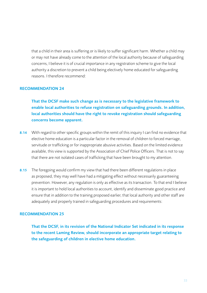that a child in their area is suffering or is likely to suffer significant harm. Whether a child may or may not have already come to the attention of the local authority because of safeguarding concerns, I believe it is of crucial importance in any registration scheme to give the local authority a discretion to prevent a child being electively home educated for safeguarding reasons. I therefore recommend:

### **RECOMMENDATION 24**

That the DCSF make such change as is necessary to the legislative framework to enable local authorities to refuse registration on safeguarding grounds. In addition, local authorities should have the right to revoke registration should safeguarding concerns become apparent.

- 8.14 With regard to other specific groups within the remit of this inquiry I can find no evidence that elective home education is a particular factor in the removal of children to forced marriage, servitude or trafficking or for inappropriate abusive activities. Based on the limited evidence available, this view is supported by the Association of Chief Police Officers. That is not to say that there are not isolated cases of trafficking that have been brought to my attention.
- 8.15 The foregoing would confirm my view that had there been different regulations in place as proposed, they may well have had a mitigating effect without necessarily guaranteeing prevention. However, any regulation is only as effective as its transaction. To that end I believe it is important to hold local authorities to account, identify and disseminate good practice and ensure that in addition to the training proposed earlier, that local authority and other staff are adequately and properly trained in safeguarding procedures and requirements:

#### **RECOMMENDATION 25**

That the DCSF, in its revision of the National Indicator Set indicated in its response to the recent Laming Review, should incorporate an appropriate target relating to the safeguarding of children in elective home education.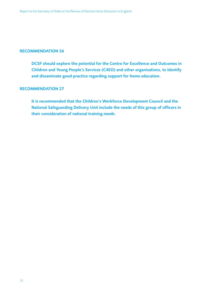#### RECOMMENDATION 26

DCSF should explore the potential for the Centre for Excellence and Outcomes in Children and Young People's Services (C4EO) and other organisations, to identify and disseminate good practice regarding support for home education.

#### RECOMMENDATION 27

It is recommended that the Children's Workforce Development Council and the National Safeguarding Delivery Unit include the needs of this group of officers in their consideration of national training needs.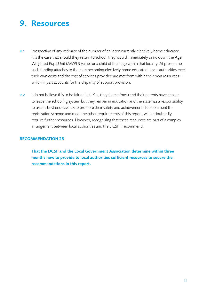# 9. Resources

- 9.1 Irrespective of any estimate of the number of children currently electively home educated, it is the case that should they return to school, they would immediately draw down the Age Weighted Pupil Unit (AWPU) value for a child of their age within that locality. At present no such funding attaches to them on becoming electively home educated. Local authorities meet their own costs and the cost of services provided are met from within their own resources – which in part accounts for the disparity of support provision.
- 9.2 I do not believe this to be fair or just. Yes, they (sometimes) and their parents have chosen to leave the schooling system but they remain in education and the state has a responsibility to use its best endeavours to promote their safety and achievement. To implement the registration scheme and meet the other requirements of this report, will undoubtedly require further resources. However, recognising that these resources are part of a complex arrangement between local authorities and the DCSF, I recommend:

### RECOMMENdATION 28

That the DCSF and the Local Government Association determine within three months how to provide to local authorities sufficient resources to secure the recommendations in this report.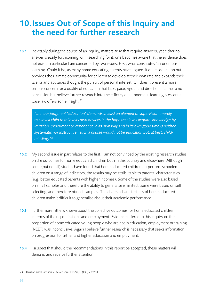# 10.Issues Out of Scope of this Inquiry and the need for further research

10.1 Inevitably during the course of an inquiry, matters arise that require answers, yet either no answer is easily forthcoming, or in searching for it, one becomes aware that the evidence does not exist. In particular I am concerned by two issues. First, what constitutes 'autonomous' learning. Could it be, as many home educating parents have argued, it defies definition but provides the ultimate opportunity for children to develop at their own rate and expands their talents and aptitudes thought the pursuit of personal interest. Or, does it present a more serious concern for a quality of education that lacks pace, rigour and direction. I come to no conclusion but believe further research into the efficacy of autonomous learning is essential. Case law offers some insight:<sup>23</sup>

 *"...in our judgment "education" demands at least an element of supervision; merely* to allow a child to follow its own devices in the hope that it will acquire knowledge by imitation, experiment or experience in its own way and in its own good time is neither  *systematic nor instructive…such a course would not be education but, at best, childminding."*<sup>23</sup>

- 10.2 My second issue in part relates to the first. I am not convinced by the existing research studies on the outcomes for home educated children both in this country and elsewhere. Although some (but not all) studies have found that home educated children outperform schooled children on a range of indicators, the results may be attributable to parental characteristics (e.g. better educated parents with higher incomes). Some of the studies were also based on small samples and therefore the ability to generalise is limited. Some were based on self selecting, and therefore biased, samples. The diverse characteristics of home educated children make it difficult to generalise about their academic performance.
- 10.3 Furthermore, little is known about the collective outcomes for home educated children in terms of their qualifications and employment. Evidence offered to this inquiry on the proportion of home educated young people who are not in education, employment or training (NEET) was inconclusive. Again I believe further research is necessary that seeks information on progression to further and higher education and employment.
- 10.4 I suspect that should the recommendations in this report be accepted, these matters will demand and receive further attention.

<sup>23</sup> Harrison and Harrison v Stevenson (1982) QB (DC) 729/81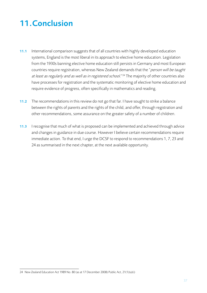# 11.Conclusion

- 11.1 International comparison suggests that of all countries with highly developed education systems, England is the most liberal in its approach to elective home education. Legislation from the 1930s banning elective home education still persists in Germany and most European countries require registration, whereas New Zealand demands that the "person will be taught at least as regularly and as well as in registered school."<sup>24</sup> The majority of other countries also have processes for registration and the systematic monitoring of elective home education and require evidence of progress, often specifically in mathematics and reading.
- 11.2 The recommendations in this review do not go that far. I have sought to strike a balance between the rights of parents and the rights of the child, and offer, through registration and other recommendations, some assurance on the greater safety of a number of children.
- 11.3 I recognise that much of what is proposed can be implemented and achieved through advice and changes in guidance in due course. However I believe certain recommendations require immediate action. To that end, I urge the DCSF to respond to recommendations 1, 7, 23 and 24 as summarised in the next chapter, at the next available opportunity.

<sup>24</sup> New Zealand Education Act 1989 No. 80 (as at 17 December 2008) Public Act, 21(1)(a)(i)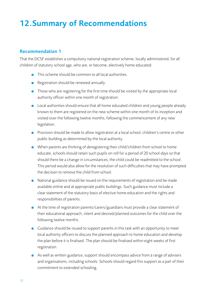# 12.Summary of Recommendations

### Recommendation 1

That the DCSF establishes a compulsory national registration scheme, locally administered, for all children of statutory school age, who are, or become, electively home educated.

- This scheme should be common to all local authorities.
- Registration should be renewed annually.
- Those who are registering for the first time should be visited by the appropriate local authority officer within one month of registration.
- Local authorities should ensure that all home educated children and young people already known to them are registered on the new scheme within one month of its inception and visited over the following twelve months, following the commencement of any new legislation.
- Provision should be made to allow registration at a local school, children's centre or other public building as determined by the local authority.
- When parents are thinking of deregistering their child/children from school to home educate, schools should retain such pupils on roll for a period of 20 school days so that should there be a change in circumstances, the child could be readmitted to the school. This period would also allow for the resolution of such difficulties that may have prompted the decision to remove the child from school.
- National guidance should be issued on the requirements of registration and be made available online and at appropriate public buildings. Such guidance must include a clear statement of the statutory basis of elective home education and the rights and responsibilities of parents.
- At the time of registration parents/carers/guardians must provide a clear statement of their educational approach, intent and desired/planned outcomes for the child over the following twelve months.
- Guidance should be issued to support parents in this task with an opportunity to meet local authority officers to discuss the planned approach to home education and develop the plan before it is finalised. The plan should be finalised within eight weeks of first registration.
- As well as written guidance, support should encompass advice from a range of advisers and organisations, including schools. Schools should regard this support as a part of their commitment to extended schooling.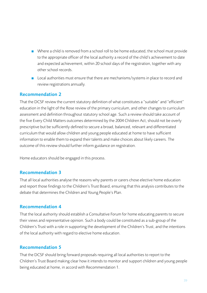- Where a child is removed from a school roll to be home educated, the school must provide to the appropriate officer of the local authority a record of the child's achievement to date and expected achievement, within 20 school days of the registration, together with any other school records.
- Local authorities must ensure that there are mechanisms/systems in place to record and review registrations annually.

## Recommendation 2

That the DCSF review the current statutory definition of what constitutes a "suitable" and "efficient" education in the light of the Rose review of the primary curriculum, and other changes to curriculum assessment and definition throughout statutory school age. Such a review should take account of the five Every Child Matters outcomes determined by the 2004 Children Act, should not be overly prescriptive but be sufficiently defined to secure a broad, balanced, relevant and differentiated curriculum that would allow children and young people educated at home to have sufficient information to enable them to expand their talents and make choices about likely careers. The outcome of this review should further inform guidance on registration.

Home educators should be engaged in this process.

## Recommendation 3

That all local authorities analyse the reasons why parents or carers chose elective home education and report those findings to the Children's Trust Board, ensuring that this analysis contributes to the debate that determines the Children and Young People's Plan.

## Recommendation 4

That the local authority should establish a Consultative Forum for home educating parents to secure their views and representative opinion. Such a body could be constituted as a sub-group of the Children's Trust with a role in supporting the development of the Children's Trust, and the intentions of the local authority with regard to elective home education.

## Recommendation 5

That the DCSF should bring forward proposals requiring all local authorities to report to the Children's Trust Board making clear how it intends to monitor and support children and young people being educated at home, in accord with Recommendation 1.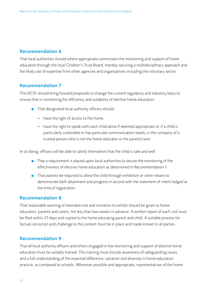### Recommendation 6

That local authorities should where appropriate commission the monitoring and support of home education through the local Children's Trust Board, thereby securing a multidisciplinary approach and the likely use of expertise from other agencies and organisations including the voluntary sector.

### Recommendation 7

The DCSF should bring forward proposals to change the current regulatory and statutory basis to ensure that in monitoring the efficiency and suitability of elective home education:

- That designated local authority officers should:
	- have the right of access to the home;
	- have the right to speak with each child alone if deemed appropriate or, if a child is particularly vulnerable or has particular communication needs, in the company of a trusted person who is not the home educator or the parent/carer.

In so doing, officers will be able to satisfy themselves that the child is safe and well.

- That a requirement is placed upon local authorities to secure the monitoring of the effectiveness of elective home education as determined in Recommendation 1.
- That parents be required to allow the child through exhibition or other means to demonstrate both attainment and progress in accord with the statement of intent lodged at the time of registration.

### Recommendation 8

That reasonable warning of intended visit and invitation to exhibit should be given to home educators, parents and carers, not less than two weeks in advance. A written report of each visit must be filed within 21 days and copied to the home educating parent and child. A suitable process for factual correction and challenge to the content must be in place and made known to all parties.

### Recommendation 9

That all local authority officers and others engaged in the monitoring and support of elective home education must be suitably trained. This training must include awareness of safeguarding issues and a full understanding of the essential difference, variation and diversity in home education practice, as compared to schools. Wherever possible and appropriate, representatives of the home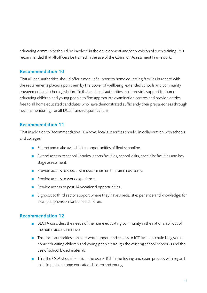educating community should be involved in the development and/or provision of such training. It is recommended that all officers be trained in the use of the Common Assessment Framework.

## Recommendation 10

That all local authorities should offer a menu of support to home educating families in accord with the requirements placed upon them by the power of wellbeing, extended schools and community engagement and other legislation. To that end local authorities must provide support for home educating children and young people to find appropriate examination centres and provide entries free to all home educated candidates who have demonstrated sufficiently their preparedness through routine monitoring, for aII DCSF funded qualifications.

### Recommendation 11

That in addition to Recommendation 10 above, local authorities should, in collaboration with schools and colleges:

- Extend and make available the opportunities of flexi-schooling.
- Extend access to school libraries, sports facilities, school visits, specialist facilities and key stage assessment.
- Provide access to specialist music tuition on the same cost basis.
- Provide access to work experience.
- Provide access to post 14 vocational opportunities.
- Signpost to third sector support where they have specialist experience and knowledge, for example, provision for bullied children.

## Recommendation 12

- BECTA considers the needs of the home educating community in the national roll out of the home access initiative
- That local authorities consider what support and access to ICT facilities could be given to home educating children and young people through the existing school networks and the use of school based materials
- That the QCA should consider the use of ICT in the testing and exam process with regard to its impact on home educated children and young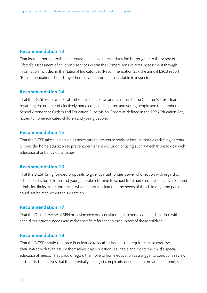### Recommendation 13

That local authority provision in regard to elective home education is brought into the scope of Ofsted's assessment of children's services within the Comprehensive Area Assessment through information included in the National Indicator Set (Recommendation 25), the annual LSCB report (Recommendation 21) and any other relevant information available to inspectors.

### Recommendation 14

That the DCSF require all local authorities to make an annual return to the Children's Trust Board regarding the number of electively home educated children and young people and the number of School Attendance Orders and Education Supervision Orders as defined in the 1996 Education Act, issued to home educated children and young people.

### Recommendation 15

That the DCSF take such action as necessary to prevent schools or local authorities advising parents to consider home education to prevent permanent exclusion or using such a mechanism to deal with educational or behavioural issues.

### Recommendation 16

That the DCSF bring forward proposals to give local authorities power of direction with regard to school places for children and young people returning to school from home education above planned admission limits in circumstances where it is quite clear that the needs of the child or young person could not be met without this direction.

## Recommendation 17

That the Ofsted review of SEN provision give due consideration to home educated children with special educational needs and make specific reference to the support of those children.

### Recommendation 18

That the DCSF should reinforce in guidance to local authorities the requirement to exercise their statutory duty to assure themselves that education is suitable and meets the child's special educational needs. They should regard the move to home education as a trigger to conduct a review and satisfy themselves that the potentially changed complexity of education provided at home, still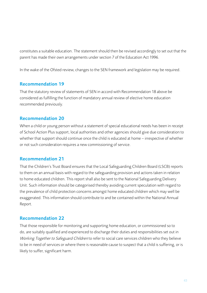constitutes a suitable education. The statement should then be revised accordingly to set out that the parent has made their own arrangements under section 7 of the Education Act 1996.

In the wake of the Ofsted review, changes to the SEN framework and legislation may be required.

### Recommendation 19

That the statutory review of statements of SEN in accord with Recommendation 18 above be considered as fulfilling the function of mandatory annual review of elective home education recommended previously.

### Recommendation 20

When a child or young person without a statement of special educational needs has been in receipt of School Action Plus support, local authorities and other agencies should give due consideration to whether that support should continue once the child is educated at home – irrespective of whether or not such consideration requires a new commissioning of service.

## Recommendation 21

That the Children's Trust Board ensures that the Local Safeguarding Children Board (LSCB) reports to them on an annual basis with regard to the safeguarding provision and actions taken in relation to home educated children. This report shall also be sent to the National Safeguarding Delivery Unit. Such information should be categorised thereby avoiding current speculation with regard to the prevalence of child protection concerns amongst home educated children which may well be exaggerated. This information should contribute to and be contained within the National Annual Report.

### Recommendation 22

That those responsible for monitoring and supporting home education, or commissioned so to do, are suitably qualified and experienced to discharge their duties and responsibilities set out in Working Together to Safeguard Children to refer to social care services children who they believe to be in need of services or where there is reasonable cause to suspect that a child is suffering, or is likely to suffer, significant harm.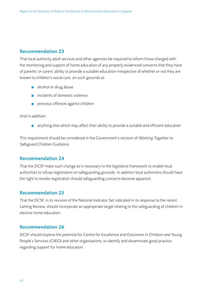### Recommendation 23

That local authority adult services and other agencies be required to inform those charged with the monitoring and support of home education of any properly evidenced concerns that they have of parents' or carers' ability to provide a suitable education irrespective of whether or not they are known to children's social care, on such grounds as

- alcohol or drug abuse
- incidents of domestic violence
- previous offences against children

### And in addition:

■ anything else which may affect their ability to provide a suitable and efficient education

This requirement should be considered in the Government's revision of Working Together to Safeguard Children Guidance.

### Recommendation 24

That the DCSF make such change as is necessary to the legislative framework to enable local authorities to refuse registration on safeguarding grounds. In addition local authorities should have the right to revoke registration should safeguarding concerns become apparent.

### Recommendation 25

That the DCSF, in its revision of the National Indicator Set indicated in its response to the recent Laming Review, should incorporate an appropriate target relating to the safeguarding of children in elective home education.

### Recommendation 26

DCSF should explore the potential for Centre for Excellence and Outcomes in Children and Young People's Services (C4EO) and other organisations, to identify and disseminate good practice regarding support for home education.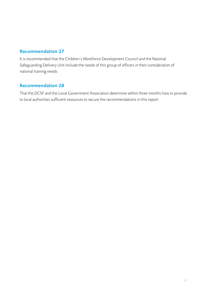## Recommendation 27

It is recommended that the Children's Workforce Development Council and the National Safeguarding Delivery Unit include the needs of this group of officers in their consideration of national training needs.

## Recommendation 28

That the DCSF and the Local Government Association determine within three months how to provide to local authorities sufficient resources to secure the recommendations in this report.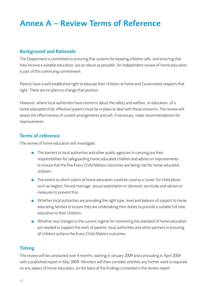# Annex A – Review Terms of Reference

### Background and Rationale

 The Department is committed to ensuring that systems for keeping children safe, and ensuring that they receive a suitable education, are as robust as possible. An independent review of home education is part of this continuing commitment.

 Parents have a well established right to educate their children at home and Government respects that right. There are no plans to change that position.

 However, where local authorities have concerns about the safety and welfare, or education, of a home educated child, effective systems must be in place to deal with those concerns. The review will assess the effectiveness of current arrangements and will, if necessary, make recommendations for improvements.

### Terms of reference

The review of home education will investigate:

- The barriers to local authorities and other public agencies in carrying out their responsibilities for safeguarding home educated children and advise on improvements to ensure that the five Every Child Matters outcomes are being met for home educated children;
- The extent to which claims of home education could be used as a 'cover' for child abuse such as neglect, forced marriage, sexual exploitation or domestic servitude and advise on measures to prevent this;
- Whether local authorities are providing the right type, level and balance of support to home educating families to ensure they are undertaking their duties to provide a suitable full time education to their children;
- Whether any changes to the current regime for monitoring the standard of home education are needed to support the work of parents, local authorities and other partners in ensuring all children achieve the Every Child Matters outcomes.

### Timing

 The review will be conducted over 4 months, starting in January 2009 and concluding in April 2009 with a published report in May 2009. Ministers will then consider whether any further work is required on any aspect of home education, on the basis of the findings contained in the review report.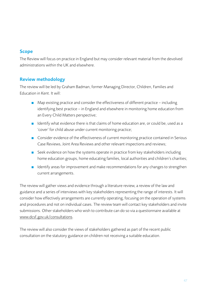# **Scope**

The Review will focus on practice in England but may consider relevant material from the devolved administrations within the UK and elsewhere.

## Review methodology

The review will be led by Graham Badman, former Managing Director, Children, Families and Education in Kent. It will:

- Map existing practice and consider the effectiveness of different practice including identifying best practice – in England and elsewhere in monitoring home education from an Every Child Matters perspective;
- Identify what evidence there is that claims of home education are, or could be, used as a 'cover' for child abuse under current monitoring practice;
- Consider evidence of the effectiveness of current monitoring practice contained in Serious Case Reviews, Joint Area Reviews and other relevant inspections and reviews;
- Seek evidence on how the systems operate in practice from key stakeholders including home education groups, home educating families, local authorities and children's charities;
- Identify areas for improvement and make recommendations for any changes to strengthen current arrangements.

The review will gather views and evidence through a literature review, a review of the law and guidance and a series of interviews with key stakeholders representing the range of interests. It will consider how effectively arrangements are currently operating, focusing on the operation of systems and procedures and not on individual cases. The review team will contact key stakeholders and invite submissions. Other stakeholders who wish to contribute can do so via a questionnaire available at www.dcsf.gov.uk/consultations.

The review will also consider the views of stakeholders gathered as part of the recent public consultation on the statutory guidance on children not receiving a suitable education.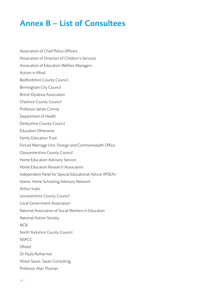# Annex B – List of Consultees

Association of Chief Police Officers Association of Directors of Children's Services Association of Education Welfare Managers Autism in Mind Bedfordshire County Council Birmingham City Council British Dyslexia Association Cheshire County Council Professor James Conroy Department of Health Derbyshire County Council Education Otherwise Family Education Trust Forced Marriage Unit, Foreign and Commonwealth Office Gloucestershire County Council Home Education Advisory Service Home Education Research Association Independent Panel for Special Educational Advice (IPSEA) Islamic Home Schooling Advisory Network Arthur Ivatts Leicestershire County Council Local Government Association National Association of Social Workers in Education National Autism Society NCB North Yorkshire County Council NSPCC Ofsted Dr Paula Rothermel Alison Sauer, Sauer Consulting Professor Alan Thomas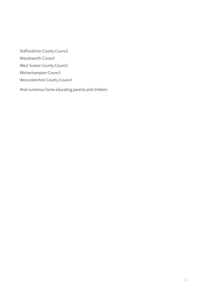Staffordshire County Council Wandsworth Council

West Sussex County Council

Wolverhampton Council

Worcestershire County Council

And numerous home educating parents and children.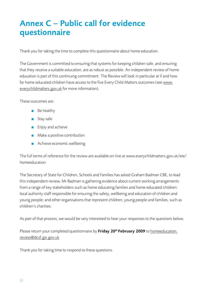# Annex C – Public call for evidence questionnaire

Thank you for taking the time to complete this questionnaire about home education.

The Government is committed to ensuring that systems for keeping children safe, and ensuring that they receive a suitable education, are as robust as possible. An independent review of home education is part of this continuing commitment. The Review will look in particular at if and how far home educated children have access to the five Every Child Matters outcomes (see www. everychildmatters.gov.uk for more information).

These outcomes are:

- Be healthy
- Stay safe
- Enjoy and achieve
- Make a positive contribution
- Achieve economic wellbeing

The full terms of reference for the review are available on-line at www.everychildmatters.gov.uk/ete/ homeeducation

The Secretary of State for Children, Schools and Families has asked Graham Badman CBE, to lead this independent review. Mr Badman is gathering evidence about current working arrangements from a range of key stakeholders such as home educating families and home educated children; local authority staff responsible for ensuring the safety, wellbeing and education of children and young people; and other organisations that represent children, young people and families, such as children's charities.

As part of that process, we would be very interested to hear your responses to the questions below.

Please return your completed questionnaire by Friday 20<sup>th</sup> February 2009 to homeeducation. review@dcsf.gsi.gov.uk

Thank you for taking time to respond to these questions.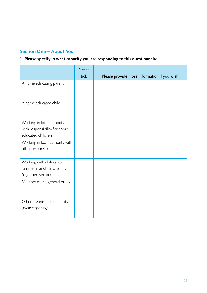# Section One – About You

# 1. Please specify in what capacity you are responding to this questionnaire.

|                                                                                 | Please<br>tick | Please provide more information if you wish |
|---------------------------------------------------------------------------------|----------------|---------------------------------------------|
| A home educating parent                                                         |                |                                             |
| A home educated child                                                           |                |                                             |
| Working in local authority<br>with responsibility for home<br>educated children |                |                                             |
| Working in local authority with<br>other responsibilities                       |                |                                             |
| Working with children or<br>families in another capacity<br>(e.g. third sector) |                |                                             |
| Member of the general public                                                    |                |                                             |
| Other organisation/capacity<br>(please specify)                                 |                |                                             |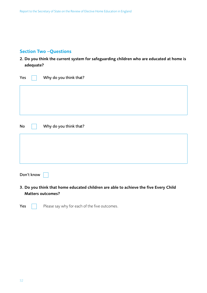## Section Two –Questions

2. Do you think the current system for safeguarding children who are educated at home is adequate?

| Yes | Why do you think that? |
|-----|------------------------|
|     |                        |
|     |                        |
|     |                        |
|     |                        |
| No  | Why do you think that? |
|     |                        |
|     |                        |

3. Do you think that home educated children are able to achieve the five Every Child Matters outcomes?

I **Yes**  $\Box$  Please say why for each of the five outcomes.

Don't know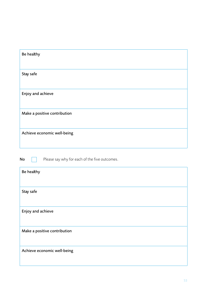| Be healthy                   |
|------------------------------|
| Stay safe                    |
| Enjoy and achieve            |
| Make a positive contribution |
| Achieve economic well-being  |

I No Please say why for each of the five outcomes.

| Be healthy                   |
|------------------------------|
| Stay safe                    |
| Enjoy and achieve            |
| Make a positive contribution |
| Achieve economic well-being  |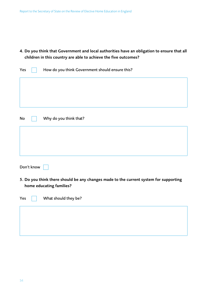# 4. Do you think that Government and local authorities have an obligation to ensure that all children in this country are able to achieve the five outcomes?

| Yes | How do you think Government should ensure this? |
|-----|-------------------------------------------------|
|     |                                                 |
|     |                                                 |
|     |                                                 |
|     |                                                 |
|     |                                                 |
|     |                                                 |
| No  | Why do you think that?                          |

| 5. Do you think there should be any changes made to the current system for supporting |  |  |
|---------------------------------------------------------------------------------------|--|--|
| home educating families?                                                              |  |  |

| Yes | What should they be? |  |  |
|-----|----------------------|--|--|
|     |                      |  |  |
|     |                      |  |  |
|     |                      |  |  |
|     |                      |  |  |
|     |                      |  |  |

Don't know [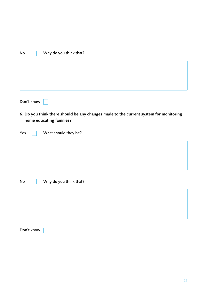| No         | Why do you think that?                                                                                            |
|------------|-------------------------------------------------------------------------------------------------------------------|
|            |                                                                                                                   |
|            |                                                                                                                   |
|            |                                                                                                                   |
| Don't know |                                                                                                                   |
|            | 6. Do you think there should be any changes made to the current system for monitoring<br>home educating families? |
| Yes        | What should they be?                                                                                              |
|            |                                                                                                                   |
|            |                                                                                                                   |
|            |                                                                                                                   |
| No         | Why do you think that?                                                                                            |
|            |                                                                                                                   |
|            |                                                                                                                   |
|            |                                                                                                                   |
|            |                                                                                                                   |
|            |                                                                                                                   |
| Don't know |                                                                                                                   |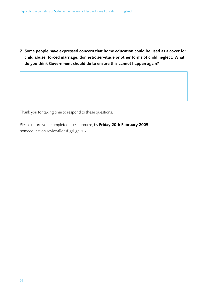7. Some people have expressed concern that home education could be used as a cover for child abuse, forced marriage, domestic servitude or other forms of child neglect. What do you think Government should do to ensure this cannot happen again?

Thank you for taking time to respond to these questions.

Please return your completed questionnaire, by Friday 20th February 2009, to homeeducation.review@dcsf.gsi.gov.uk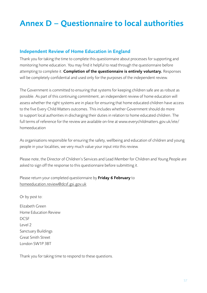# Annex D – Questionnaire to local authorities

## Independent Review of Home Education in England

Thank you for taking the time to complete this questionnaire about processes for supporting and monitoring home education. You may find it helpful to read through the questionnaire before attempting to complete it. Completion of the questionnaire is entirely voluntary. Responses will be completely confidential and used only for the purposes of the independent review.

The Government is committed to ensuring that systems for keeping children safe are as robust as possible. As part of this continuing commitment, an independent review of home education will assess whether the right systems are in place for ensuring that home educated children have access to the five Every Child Matters outcomes. This includes whether Government should do more to support local authorities in discharging their duties in relation to home educated children. The full terms of reference for the review are available on-line at www.everychildmatters.gov.uk/ete/ homeeducation

As organisations responsible for ensuring the safety, wellbeing and education of children and young people in your localities, we very much value your input into this review.

Please note, the Director of Children's Services and Lead Member for Children and Young People are asked to sign off the response to this questionnaire before submitting it.

Please return your completed questionnaire by Friday 6 February to homeeducation.review@dcsf.gsi.gov.uk

Or by post to:

Elizabeth Green Home Education Review DCSF Level 2 Sanctuary Buildings Great Smith Street London SW1P 3BT

Thank you for taking time to respond to these questions.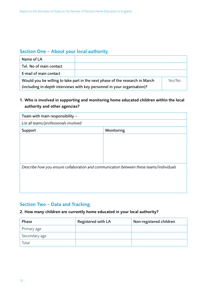## Section One – About your local authority

| Name of LA                                                                   |  |        |
|------------------------------------------------------------------------------|--|--------|
| Tel. No of main contact                                                      |  |        |
| E-mail of main contact                                                       |  |        |
| Would you be willing to take part in the next phase of the research in March |  | Yes/No |
| (including in-depth interviews with key personnel in your organisation)?     |  |        |

## 1. Who is involved in supporting and monitoring home educated children within the local authority and other agencies?

| Team with main responsibility -                                                         |            |
|-----------------------------------------------------------------------------------------|------------|
| List all teams/professionals involved                                                   |            |
| Support                                                                                 | Monitoring |
|                                                                                         |            |
|                                                                                         |            |
|                                                                                         |            |
|                                                                                         |            |
| Describe how you ensure collaboration and communication between these teams/individuals |            |
|                                                                                         |            |
|                                                                                         |            |
|                                                                                         |            |
|                                                                                         |            |

## Section Two - Data and Tracking

## 2. How many children are currently home educated in your local authority?

| Phase         | Registered with LA | Non-registered children |
|---------------|--------------------|-------------------------|
| Primary age   |                    |                         |
| Secondary age |                    |                         |
| Total         |                    |                         |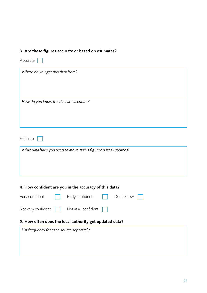## 3. Are these figures accurate or based on estimates?

| Accurate                                                             |
|----------------------------------------------------------------------|
| Where do you get this data from?                                     |
| How do you know the data are accurate?                               |
| Estimate                                                             |
| What data have you used to arrive at this figure? (List all sources) |
|                                                                      |

# 4. How confident are you in the accuracy of this data?

|  | Very confident   Fairly confident   Don't know                  |  |  |  |
|--|-----------------------------------------------------------------|--|--|--|
|  | Not very confident $\parallel$ Not at all confident $\parallel$ |  |  |  |
|  |                                                                 |  |  |  |

## 5. How often does the local authority get updated data?

| List frequency for each source separately |  |  |  |  |  |  |  |
|-------------------------------------------|--|--|--|--|--|--|--|
|                                           |  |  |  |  |  |  |  |
|                                           |  |  |  |  |  |  |  |
|                                           |  |  |  |  |  |  |  |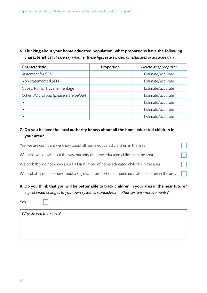# characteristics? *Please say whether these figures are based on estimates or accurate data.* 6. Thinking about your home educated population, what proportions have the following

| Characteristic                       | Proportion | Delete as appropriate |
|--------------------------------------|------------|-----------------------|
| Statement for SEN                    |            | Estimate/accurate     |
| Non-statemented SEN                  |            | Estimate/accurate     |
| Gypsy, Roma, Traveller heritage      |            | Estimate/accurate     |
| Other BME Group (please state below) |            | Estimate/accurate     |
|                                      |            | Estimate/accurate     |
|                                      |            | Estimate/accurate     |
|                                      |            | Estimate/accurate     |

## 7. Do you believe the local authority knows about all the home educated children in your area?

| Yes, we are confident we know about all home educated children in the area                   |  |
|----------------------------------------------------------------------------------------------|--|
| We think we know about the vast majority of home educated children in the area               |  |
| We probably do not know about a fair number of home educated children in the area            |  |
| We probably do not know about a significant proportion of home educated children in the area |  |

### 8. Do you think that you will be better able to track children in your area in the near future?

 *e.g. planned changes to your own systems, ContactPoint, other system improvements?*

Yes

| Why do you think that? |  |  |
|------------------------|--|--|
|                        |  |  |
|                        |  |  |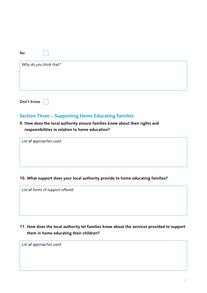| No         |                        |  |
|------------|------------------------|--|
|            | Why do you think that? |  |
|            |                        |  |
|            |                        |  |
| Don't know |                        |  |

## Section Three – Supporting Home Educating Families

## 9. How does the local authority ensure families know about their rights and responsibilities in relation to home education?

 *List all approaches used*

### 10. What support does your local authority provide to home educating families?

 *List all forms of support offered*

## 11. How does the local authority let families know about the services provided to support them in home educating their children?

 *List all approaches used*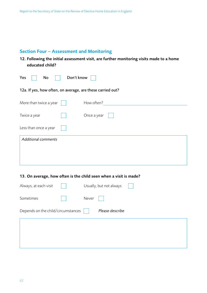## Section Four – Assessment and Monitoring

12. Following the initial assessment visit, are further monitoring visits made to a home educated child?

| Yes<br>No                  | Don't know                                                 |
|----------------------------|------------------------------------------------------------|
|                            | 12a. If yes, how often, on average, are these carried out? |
| More than twice a year     | How often?                                                 |
| Twice a year               | Once a year                                                |
| Less than once a year      |                                                            |
| <b>Additional comments</b> |                                                            |
|                            |                                                            |
|                            |                                                            |

### 13. On average, how often is the child seen when a visit is made?

| Always, at each visit              |       | Usually, but not always |  |
|------------------------------------|-------|-------------------------|--|
| Sometimes                          | Never |                         |  |
| Depends on the child/circumstances |       | Please describe         |  |
|                                    |       |                         |  |
|                                    |       |                         |  |
|                                    |       |                         |  |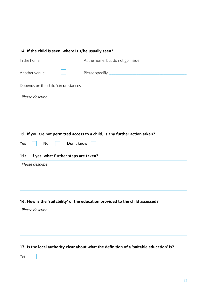| 14. If the child is seen, where is s/he usually seen? |  |                                   |  |  |  |  |  |
|-------------------------------------------------------|--|-----------------------------------|--|--|--|--|--|
| In the home                                           |  | At the home, but do not go inside |  |  |  |  |  |
| Another venue                                         |  | Please specifiy                   |  |  |  |  |  |
| Depends on the child/circumstances                    |  |                                   |  |  |  |  |  |
| Please describe                                       |  |                                   |  |  |  |  |  |
|                                                       |  |                                   |  |  |  |  |  |
|                                                       |  |                                   |  |  |  |  |  |

## 15. If you are not permitted access to a child, is any further action taken?

|  |  | Yes No Don't know |  |
|--|--|-------------------|--|
|  |  |                   |  |

## 15a. If yes, what further steps are taken?

| Please describe |  |  |  |
|-----------------|--|--|--|
|                 |  |  |  |
|                 |  |  |  |
|                 |  |  |  |

### 16. How is the 'suitability' of the education provided to the child assessed?



## 17. Is the local authority clear about what the definition of a 'suitable education' is?

Yes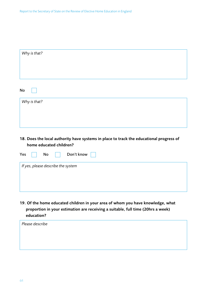| Why is that?  |  |  |
|---------------|--|--|
|               |  |  |
|               |  |  |
| $\mathsf{No}$ |  |  |
| Why is that?  |  |  |
|               |  |  |
|               |  |  |

18. Does the local authority have systems in place to track the educational progress of home educated children?

| Yes | <b>No</b> |                                    | Don't know |  |  |  |
|-----|-----------|------------------------------------|------------|--|--|--|
|     |           | If yes, please describe the system |            |  |  |  |
|     |           |                                    |            |  |  |  |
|     |           |                                    |            |  |  |  |
|     |           |                                    |            |  |  |  |

19. Of the home educated children in your area of whom you have knowledge, what proportion in your estimation are receiving a suitable, full time (20hrs a week) education?

| Please describe |  |  |  |
|-----------------|--|--|--|
|                 |  |  |  |
|                 |  |  |  |
|                 |  |  |  |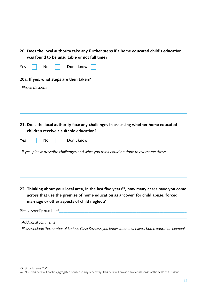## 20. Does the local authority take any further steps if a home educated child's education was found to be unsuitable or not full time?

| Yes | Nο | Don't know |  |
|-----|----|------------|--|
|     |    |            |  |

### 20a. If yes, what steps are then taken?

| Please describe |  |  |
|-----------------|--|--|
|                 |  |  |
|                 |  |  |
|                 |  |  |

21. Does the local authority face any challenges in assessing whether home educated children receive a suitable education?

| Don't know<br>Yes<br>No                                                               |  |
|---------------------------------------------------------------------------------------|--|
| If yes, please describe challenges and what you think could be done to overcome these |  |
|                                                                                       |  |
|                                                                                       |  |

22. Thinking about your local area, in the last five years<sup>25</sup>, how many cases have you come across that use the premise of home education as a 'cover' for child abuse, forced marriage or other aspects of child neglect?

Please specify number<sup>26</sup>

Please include the number of Serious Case Reviews you know about that have a home education element *Additional comments*

<sup>25</sup> Since January 2003

<sup>26</sup> NB – this data will not be aggregated or used in any other way. This data will provide an overall sense of the scale of this issue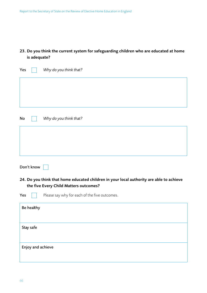### 23. Do you think the current system for safeguarding children who are educated at home is adequate?

| Yes                                                                                      |            | Why do you think that? |
|------------------------------------------------------------------------------------------|------------|------------------------|
|                                                                                          |            |                        |
|                                                                                          |            |                        |
|                                                                                          |            |                        |
| No                                                                                       |            | Why do you think that? |
|                                                                                          |            |                        |
|                                                                                          |            |                        |
|                                                                                          |            |                        |
|                                                                                          | Don't know |                        |
| 24. Do you think that home educated children in your local authority are able to achieve |            |                        |

## the five Every Child Matters outcomes?

| Yes<br>Please say why for each of the five outcomes. |  |
|------------------------------------------------------|--|
| Be healthy                                           |  |
| Stay safe                                            |  |
| Enjoy and achieve                                    |  |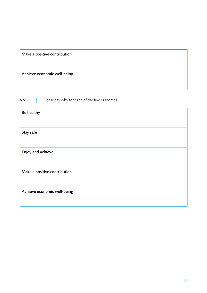| Make a positive contribution                        |  |  |
|-----------------------------------------------------|--|--|
| Achieve economic well-being                         |  |  |
| Please say why for each of the five outcomes.<br>No |  |  |
| Be healthy                                          |  |  |
| Stay safe                                           |  |  |
| Enjoy and achieve                                   |  |  |
| Make a positive contribution                        |  |  |

Achieve economic well-being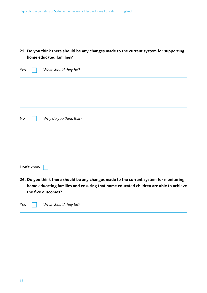### 25. Do you think there should be any changes made to the current system for supporting home educated families?

| Yes | What should they be?   |
|-----|------------------------|
|     |                        |
|     |                        |
|     |                        |
|     |                        |
|     |                        |
| No  | Why do you think that? |
|     |                        |
|     |                        |
|     |                        |
|     |                        |
|     |                        |

26. Do you think there should be any changes made to the current system for monitoring home educating families and ensuring that home educated children are able to achieve the five outcomes?

| Yes | What should they be? |
|-----|----------------------|
|     |                      |
|     |                      |
|     |                      |

Don't know [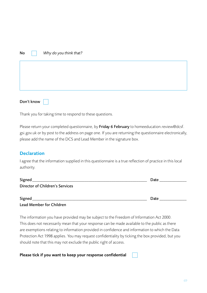| No | Why do you think that? |
|----|------------------------|
|----|------------------------|

Don't know

Thank you for taking time to respond to these questions.

Please return your completed questionnaire, by Friday 6 February to homeeducation.review@dcsf. gsi.gov.uk or by post to the address on page one. If you are returning the questionnaire electronically, please add the name of the DCS and Lead Member in the signature box.

#### **Declaration**

I agree that the information supplied in this questionnaire is a true reflection of practice in this local authority.

| Signed                                 | Date |  |
|----------------------------------------|------|--|
| <b>Director of Children's Services</b> |      |  |
|                                        |      |  |
| Signed                                 | Date |  |
| Lead Member for Children               |      |  |

The information you have provided may be subject to the Freedom of Information Act 2000. This does not necessarily mean that your response can be made available to the public as there are exemptions relating to information provided in confidence and information to which the Data Protection Act 1998 applies. You may request confidentiality by ticking the box provided, but you should note that this may not exclude the public right of access.

Please tick if you want to keep your response confidential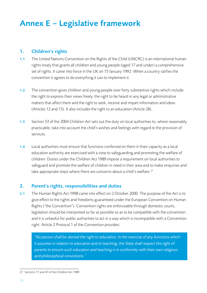# Annex E – Legislative framework

### 1. Children's rights

- 1.1 The United Nations Convention on the Rights of the Child (UNCRC) is an international human rights treaty that grants all children and young people (aged 17 and under) a comprehensive set of rights. It came into force in the UK on 15 January 1992. When a country ratifies the convention it agrees to do everything it can to implement it.
- 1.2 The convention gives children and young people over forty substantive rights which include the right to express their views freely, the right to be heard in any legal or administrative matters that affect them and the right to seek, receive and impart information and ideas (Articles 12 and 13). It also includes the right to an education (Article 28).
- 1.3 Section 53 of the 2004 Children Act sets out the duty on local authorities to, where reasonably practicable, take into account the child's wishes and feelings with regard to the provision of services.
- **1.4** Local authorities must ensure that functions conferred on them in their capacity as a local education authority are exercised with a view to safeguarding and promoting the welfare of children. Duties under the Children Act 1989 impose a requirement on local authorities to safeguard and promote the welfare of children in need in their area and to make enquiries and take appropriate steps where there are concerns about a child's welfare.<sup>27</sup>

#### 2. Parent's rights, responsibilities and duties

2.1 The Human Rights Act 1998 came into effect on 2 October 2000. The purpose of the Act is to give effect to the rights and freedoms guaranteed under the European Convention on Human Rights ("the Convention"). Convention rights are enforceable through domestic courts, legislation should be interpreted so far as possible so as to be compatible with the convention and it is unlawful for public authorities to act in a way which is incompatible with a Convention right. Article 2 Protocol 1 of the Convention provides:

"No person shall be denied the right to education. In the exercise of any functions which it assumes in relation to education and to teaching, the State shall respect the right of  *parents to ensure such education and teaching is in conformity with their own religious and philosophical convictions."*

<sup>27</sup> Sections 17 and 47 of the Children Act 1989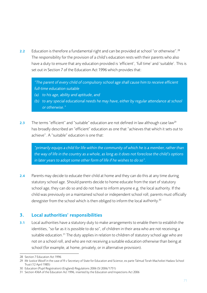2.2 Education is therefore a fundamental right and can be provided at school "or otherwise".<sup>28</sup> The responsibility for the provision of a child's education rests with their parents who also have a duty to ensure that any education provided is 'efficient', 'full time' and 'suitable'. This is set out in Section 7 of the Education Act 1996 which provides that:

"The parent of every child of compulsory school age shall cause him to receive efficient  *– full-time education suitable*

- *(a) to his age, ability and aptitude, and*
- (b) to any special educational needs he may have, either by regular attendance at school *or otherwise."*
- 2.3 The terms "efficient" and "suitable" education are not defined in law although case law<sup>29</sup> has broadly described an "efficient" education as one that "achieves that which it sets out to achieve". A "suitable" education is one that:

"primarily equips a child for life within the community of which he is a member, rather than the way of life in the country as a whole, as long as it does not foreclose the child's options  *in later years to adopt some other form of life if he wishes to do so".*

2.4 Parents may decide to educate their child at home and they can do this at any time during statutory school age. Should parents decide to home educate from the start of statutory school age, they can do so and do not have to inform anyone e.g. the local authority. If the child was previously on a maintained school or independent school roll, parents must officially deregister from the school which is then obliged to inform the local authority.<sup>30</sup>

#### 3. Local authorities' responsibilities

3.1 Local authorities have a statutory duty to make arrangements to enable them to establish the identities, "so far as it is possible to do so", of children in their area who are not receiving a suitable education.<sup>31</sup> The duty applies in relation to children of statutory school age who are not on a school roll, and who are not receiving a suitable education otherwise than being at school (for example, at home, privately, or in alternative provision).

<sup>28</sup> Section 7 Education Act 1996

<sup>29</sup> Mr Justice Woolf in the case of R v Secretary of State for Education and Science, ex parte Talmud Torah Machzikei Hadass School Trust (12 April 1985)

<sup>30</sup> Education (Pupil Registration) (England) Regulations 2006 (SI 2006/1751)

<sup>31</sup> Section 436A of the Education Act 1996, inserted by the Education and Inspections Act 2006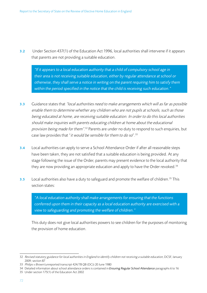3.2 Under Section 437(1) of the Education Act 1996, local authorities shall intervene if it appears that parents are not providing a suitable education.

"If it appears to a local education authority that a child of compulsory school age in  *their area is not receiving suitable education, either by regular attendance at school or* otherwise, they shall serve a notice in writing on the parent requiring him to satisfy them  *within the period specified in the notice that the child is receiving such education."*

- 3.3 Guidance states that "local authorities need to make arrangements which will as far as possible enable them to determine whether any children who are not pupils at schools, such as those being educated at home, are receiving suitable education. In order to do this local authorities should make inquiries with parents educating children at home about the educational provision being made for them".<sup>32</sup> Parents are under no duty to respond to such enquiries, but case law provides that "it would be sensible for them to do so".<sup>33</sup>
- 3.4 Local authorities can apply to serve a School Attendance Order if after all reasonable steps have been taken, they are not satisfied that a suitable education is being provided. At any stage following the issue of the Order, parents may present evidence to the local authority that they are now providing an appropriate education and apply to have the Order revoked.<sup>34</sup>
- 3.5 Local authorities also have a duty to safeguard and promote the welfare of children.<sup>35</sup> This section states:

 *"A local education authority shall make arrangements for ensuring that the functions* conferred upon them in their capacity as a local education authority are exercised with a  *view to safeguarding and promoting the welfare of children."*

This duty does not give local authorities powers to see children for the purposes of monitoring the provision of home education.

- 34 Detailed information about school attendance orders is contained in *Ensuring Regular School Attendance* paragraphs 6 to 16
- 35 Under section 175(1) of the Education Act 2002

<sup>32</sup> Revised statutory guidance for local authorities in England to identify children not receiving a suitable education, DCSF, January 2009; section 87

<sup>33</sup> Philips v Brown (unreported transcript 424/78 QB (DC)) 20 June 1980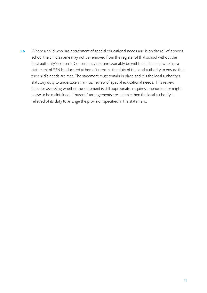3.6 Where a child who has a statement of special educational needs and is on the roll of a special school the child's name may not be removed from the register of that school without the local authority's consent. Consent may not unreasonably be withheld. If a child who has a statement of SEN is educated at home it remains the duty of the local authority to ensure that the child's needs are met. The statement must remain in place and it is the local authority's statutory duty to undertake an annual review of special educational needs. This review includes assessing whether the statement is still appropriate, requires amendment or might cease to be maintained. If parents' arrangements are suitable then the local authority is relieved of its duty to arrange the provision specified in the statement.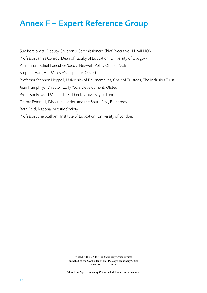## Annex F – Expert Reference Group

Sue Berelowitz, Deputy Children's Commissioner/Chief Executive, 11 MILLION. Professor James Conroy, Dean of Faculty of Education, University of Glasgow. Paul Ennals, Chief Executive/Jacqui Newvell, Policy Officer, NCB. Stephen Hart, Her Majesty's Inspector, Ofsted. Professor Stephen Heppell, University of Bournemouth, Chair of Trustees, The Inclusion Trust. Jean Humphrys, Director, Early Years Development, Ofsted. Professor Edward Melhuish, Birkbeck, University of London. Delroy Pommell, Director, London and the South East, Barnardos. Beth Reid, National Autistic Society. Professor June Statham, Institute of Education, University of London.

> ID6173620 06/09 Printed in the UK for The Stationery Office Limited on behalf of the Controller of Her Majesty's Stationery Office

Printed on Paper containing 75% recycled fibre content minimum